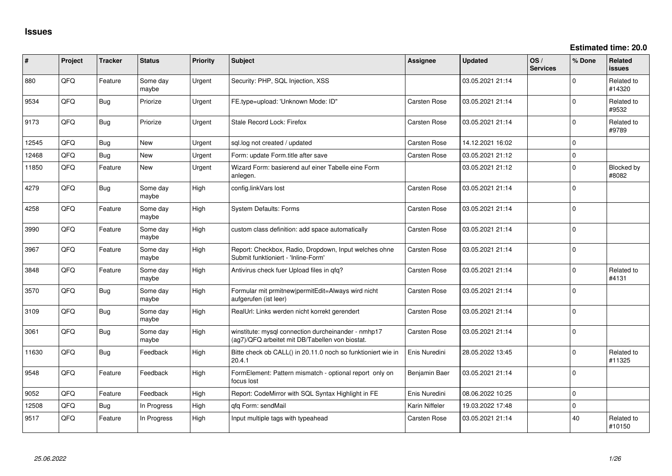**Estimated time: 20.0**

| #     | Project | <b>Tracker</b> | <b>Status</b>     | <b>Priority</b> | Subject                                                                                                | Assignee            | <b>Updated</b>   | OS/<br><b>Services</b> | % Done      | Related<br><b>issues</b> |
|-------|---------|----------------|-------------------|-----------------|--------------------------------------------------------------------------------------------------------|---------------------|------------------|------------------------|-------------|--------------------------|
| 880   | QFQ     | Feature        | Some day<br>maybe | Urgent          | Security: PHP, SQL Injection, XSS                                                                      |                     | 03.05.2021 21:14 |                        | $\Omega$    | Related to<br>#14320     |
| 9534  | QFQ     | Bug            | Priorize          | Urgent          | FE.type=upload: 'Unknown Mode: ID"                                                                     | <b>Carsten Rose</b> | 03.05.2021 21:14 |                        | $\Omega$    | Related to<br>#9532      |
| 9173  | QFQ     | Bug            | Priorize          | Urgent          | Stale Record Lock: Firefox                                                                             | <b>Carsten Rose</b> | 03.05.2021 21:14 |                        | $\Omega$    | Related to<br>#9789      |
| 12545 | QFQ     | Bug            | <b>New</b>        | Urgent          | sql.log not created / updated                                                                          | Carsten Rose        | 14.12.2021 16:02 |                        | $\Omega$    |                          |
| 12468 | QFQ     | Bug            | <b>New</b>        | Urgent          | Form: update Form.title after save                                                                     | Carsten Rose        | 03.05.2021 21:12 |                        | $\mathbf 0$ |                          |
| 11850 | QFQ     | Feature        | <b>New</b>        | Urgent          | Wizard Form: basierend auf einer Tabelle eine Form<br>anlegen.                                         |                     | 03.05.2021 21:12 |                        | $\Omega$    | Blocked by<br>#8082      |
| 4279  | QFQ     | <b>Bug</b>     | Some day<br>maybe | High            | config.linkVars lost                                                                                   | <b>Carsten Rose</b> | 03.05.2021 21:14 |                        | $\Omega$    |                          |
| 4258  | QFQ     | Feature        | Some day<br>maybe | High            | System Defaults: Forms                                                                                 | <b>Carsten Rose</b> | 03.05.2021 21:14 |                        | $\mathbf 0$ |                          |
| 3990  | QFQ     | Feature        | Some day<br>maybe | High            | custom class definition: add space automatically                                                       | <b>Carsten Rose</b> | 03.05.2021 21:14 |                        | $\Omega$    |                          |
| 3967  | QFQ     | Feature        | Some day<br>maybe | High            | Report: Checkbox, Radio, Dropdown, Input welches ohne<br>Submit funktioniert - 'Inline-Form'           | <b>Carsten Rose</b> | 03.05.2021 21:14 |                        | $\Omega$    |                          |
| 3848  | QFQ     | Feature        | Some day<br>maybe | High            | Antivirus check fuer Upload files in qfq?                                                              | <b>Carsten Rose</b> | 03.05.2021 21:14 |                        | $\Omega$    | Related to<br>#4131      |
| 3570  | QFQ     | Bug            | Some day<br>maybe | High            | Formular mit prmitnew permitEdit=Always wird nicht<br>aufgerufen (ist leer)                            | <b>Carsten Rose</b> | 03.05.2021 21:14 |                        | $\Omega$    |                          |
| 3109  | QFQ     | <b>Bug</b>     | Some day<br>maybe | High            | RealUrl: Links werden nicht korrekt gerendert                                                          | <b>Carsten Rose</b> | 03.05.2021 21:14 |                        | $\Omega$    |                          |
| 3061  | QFQ     | Bug            | Some day<br>maybe | High            | winstitute: mysql connection durcheinander - nmhp17<br>(ag7)/QFQ arbeitet mit DB/Tabellen von biostat. | <b>Carsten Rose</b> | 03.05.2021 21:14 |                        | $\Omega$    |                          |
| 11630 | QFQ     | Bug            | Feedback          | High            | Bitte check ob CALL() in 20.11.0 noch so funktioniert wie in<br>20.4.1                                 | Enis Nuredini       | 28.05.2022 13:45 |                        | $\Omega$    | Related to<br>#11325     |
| 9548  | QFQ     | Feature        | Feedback          | High            | FormElement: Pattern mismatch - optional report only on<br>focus lost                                  | Benjamin Baer       | 03.05.2021 21:14 |                        | $\Omega$    |                          |
| 9052  | QFQ     | Feature        | Feedback          | High            | Report: CodeMirror with SQL Syntax Highlight in FE                                                     | Enis Nuredini       | 08.06.2022 10:25 |                        | $\mathbf 0$ |                          |
| 12508 | QFQ     | Bug            | In Progress       | High            | gfg Form: sendMail                                                                                     | Karin Niffeler      | 19.03.2022 17:48 |                        | $\mathbf 0$ |                          |
| 9517  | QFQ     | Feature        | In Progress       | High            | Input multiple tags with typeahead                                                                     | <b>Carsten Rose</b> | 03.05.2021 21:14 |                        | 40          | Related to<br>#10150     |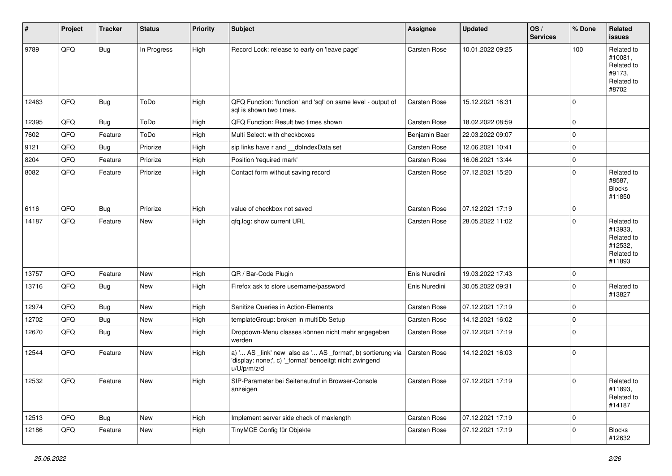| #     | Project | <b>Tracker</b> | <b>Status</b> | <b>Priority</b> | <b>Subject</b>                                                                                                                        | <b>Assignee</b>     | <b>Updated</b>   | OS/<br><b>Services</b> | % Done       | Related<br>issues                                                      |
|-------|---------|----------------|---------------|-----------------|---------------------------------------------------------------------------------------------------------------------------------------|---------------------|------------------|------------------------|--------------|------------------------------------------------------------------------|
| 9789  | QFQ     | Bug            | In Progress   | High            | Record Lock: release to early on 'leave page'                                                                                         | <b>Carsten Rose</b> | 10.01.2022 09:25 |                        | 100          | Related to<br>#10081,<br>Related to<br>#9173,<br>Related to<br>#8702   |
| 12463 | QFQ     | Bug            | ToDo          | High            | QFQ Function: 'function' and 'sql' on same level - output of<br>sal is shown two times.                                               | <b>Carsten Rose</b> | 15.12.2021 16:31 |                        | $\mathbf 0$  |                                                                        |
| 12395 | QFQ     | Bug            | ToDo          | High            | QFQ Function: Result two times shown                                                                                                  | Carsten Rose        | 18.02.2022 08:59 |                        | $\mathbf 0$  |                                                                        |
| 7602  | QFQ     | Feature        | ToDo          | High            | Multi Select: with checkboxes                                                                                                         | Benjamin Baer       | 22.03.2022 09:07 |                        | $\mathbf 0$  |                                                                        |
| 9121  | QFQ     | Bug            | Priorize      | High            | sip links have r and __dbIndexData set                                                                                                | <b>Carsten Rose</b> | 12.06.2021 10:41 |                        | $\mathbf 0$  |                                                                        |
| 8204  | QFQ     | Feature        | Priorize      | High            | Position 'required mark'                                                                                                              | <b>Carsten Rose</b> | 16.06.2021 13:44 |                        | $\mathbf 0$  |                                                                        |
| 8082  | QFQ     | Feature        | Priorize      | High            | Contact form without saving record                                                                                                    | <b>Carsten Rose</b> | 07.12.2021 15:20 |                        | $\mathbf 0$  | Related to<br>#8587,<br><b>Blocks</b><br>#11850                        |
| 6116  | QFQ     | Bug            | Priorize      | High            | value of checkbox not saved                                                                                                           | <b>Carsten Rose</b> | 07.12.2021 17:19 |                        | $\mathbf 0$  |                                                                        |
| 14187 | QFQ     | Feature        | New           | High            | qfq.log: show current URL                                                                                                             | <b>Carsten Rose</b> | 28.05.2022 11:02 |                        | $\Omega$     | Related to<br>#13933,<br>Related to<br>#12532,<br>Related to<br>#11893 |
| 13757 | QFQ     | Feature        | <b>New</b>    | High            | QR / Bar-Code Plugin                                                                                                                  | Enis Nuredini       | 19.03.2022 17:43 |                        | $\mathbf 0$  |                                                                        |
| 13716 | QFQ     | Bug            | <b>New</b>    | High            | Firefox ask to store username/password                                                                                                | Enis Nuredini       | 30.05.2022 09:31 |                        | $\mathbf 0$  | Related to<br>#13827                                                   |
| 12974 | QFQ     | Bug            | <b>New</b>    | High            | Sanitize Queries in Action-Elements                                                                                                   | Carsten Rose        | 07.12.2021 17:19 |                        | $\mathbf 0$  |                                                                        |
| 12702 | QFQ     | Bug            | <b>New</b>    | High            | templateGroup: broken in multiDb Setup                                                                                                | <b>Carsten Rose</b> | 14.12.2021 16:02 |                        | $\mathbf 0$  |                                                                        |
| 12670 | QFQ     | Bug            | <b>New</b>    | High            | Dropdown-Menu classes können nicht mehr angegeben<br>werden                                                                           | <b>Carsten Rose</b> | 07.12.2021 17:19 |                        | $\mathbf 0$  |                                                                        |
| 12544 | QFQ     | Feature        | New           | High            | a) ' AS _link' new also as ' AS _format', b) sortierung via<br>'display: none;', c) '_format' benoeitgt nicht zwingend<br>u/U/p/m/z/d | <b>Carsten Rose</b> | 14.12.2021 16:03 |                        | $\mathbf 0$  |                                                                        |
| 12532 | QFQ     | Feature        | New           | High            | SIP-Parameter bei Seitenaufruf in Browser-Console<br>anzeigen                                                                         | <b>Carsten Rose</b> | 07.12.2021 17:19 |                        | $\mathsf 0$  | Related to<br>#11893,<br>Related to<br>#14187                          |
| 12513 | QFQ     | Bug            | <b>New</b>    | High            | Implement server side check of maxlength                                                                                              | Carsten Rose        | 07.12.2021 17:19 |                        | $\mathbf{0}$ |                                                                        |
| 12186 | QFQ     | Feature        | New           | High            | TinyMCE Config für Objekte                                                                                                            | Carsten Rose        | 07.12.2021 17:19 |                        | $\mathbf{0}$ | <b>Blocks</b><br>#12632                                                |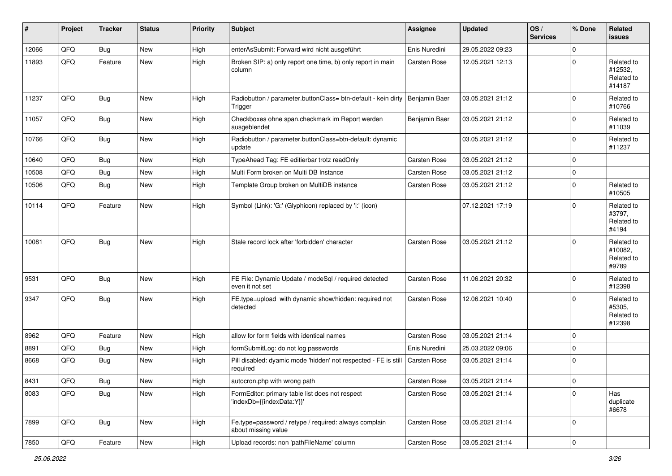| #     | Project | <b>Tracker</b> | <b>Status</b> | Priority | <b>Subject</b>                                                               | Assignee      | <b>Updated</b>   | OS/<br><b>Services</b> | % Done      | Related<br>issues                             |
|-------|---------|----------------|---------------|----------|------------------------------------------------------------------------------|---------------|------------------|------------------------|-------------|-----------------------------------------------|
| 12066 | QFQ     | Bug            | <b>New</b>    | High     | enterAsSubmit: Forward wird nicht ausgeführt                                 | Enis Nuredini | 29.05.2022 09:23 |                        | $\Omega$    |                                               |
| 11893 | QFQ     | Feature        | <b>New</b>    | High     | Broken SIP: a) only report one time, b) only report in main<br>column        | Carsten Rose  | 12.05.2021 12:13 |                        | $\Omega$    | Related to<br>#12532,<br>Related to<br>#14187 |
| 11237 | QFQ     | <b>Bug</b>     | New           | High     | Radiobutton / parameter.buttonClass= btn-default - kein dirty<br>Trigger     | Benjamin Baer | 03.05.2021 21:12 |                        | $\mathbf 0$ | Related to<br>#10766                          |
| 11057 | QFQ     | Bug            | <b>New</b>    | High     | Checkboxes ohne span.checkmark im Report werden<br>ausgeblendet              | Benjamin Baer | 03.05.2021 21:12 |                        | $\mathbf 0$ | Related to<br>#11039                          |
| 10766 | QFQ     | Bug            | New           | High     | Radiobutton / parameter.buttonClass=btn-default: dynamic<br>update           |               | 03.05.2021 21:12 |                        | $\mathbf 0$ | Related to<br>#11237                          |
| 10640 | QFQ     | <b>Bug</b>     | <b>New</b>    | High     | TypeAhead Tag: FE editierbar trotz readOnly                                  | Carsten Rose  | 03.05.2021 21:12 |                        | $\mathbf 0$ |                                               |
| 10508 | QFQ     | Bug            | <b>New</b>    | High     | Multi Form broken on Multi DB Instance                                       | Carsten Rose  | 03.05.2021 21:12 |                        | $\mathbf 0$ |                                               |
| 10506 | QFQ     | <b>Bug</b>     | New           | High     | Template Group broken on MultiDB instance                                    | Carsten Rose  | 03.05.2021 21:12 |                        | $\mathbf 0$ | Related to<br>#10505                          |
| 10114 | QFQ     | Feature        | <b>New</b>    | High     | Symbol (Link): 'G:' (Glyphicon) replaced by 'i:' (icon)                      |               | 07.12.2021 17:19 |                        | $\Omega$    | Related to<br>#3797,<br>Related to<br>#4194   |
| 10081 | QFQ     | Bug            | New           | High     | Stale record lock after 'forbidden' character                                | Carsten Rose  | 03.05.2021 21:12 |                        | $\mathbf 0$ | Related to<br>#10082.<br>Related to<br>#9789  |
| 9531  | QFQ     | Bug            | <b>New</b>    | High     | FE File: Dynamic Update / modeSql / required detected<br>even it not set     | Carsten Rose  | 11.06.2021 20:32 |                        | $\mathbf 0$ | Related to<br>#12398                          |
| 9347  | QFQ     | Bug            | <b>New</b>    | High     | FE.type=upload with dynamic show/hidden: required not<br>detected            | Carsten Rose  | 12.06.2021 10:40 |                        | $\Omega$    | Related to<br>#5305,<br>Related to<br>#12398  |
| 8962  | QFQ     | Feature        | <b>New</b>    | High     | allow for form fields with identical names                                   | Carsten Rose  | 03.05.2021 21:14 |                        | $\mathbf 0$ |                                               |
| 8891  | QFQ     | <b>Bug</b>     | <b>New</b>    | High     | formSubmitLog: do not log passwords                                          | Enis Nuredini | 25.03.2022 09:06 |                        | $\mathbf 0$ |                                               |
| 8668  | QFQ     | <b>Bug</b>     | <b>New</b>    | High     | Pill disabled: dyamic mode 'hidden' not respected - FE is still<br>required  | Carsten Rose  | 03.05.2021 21:14 |                        | $\mathbf 0$ |                                               |
| 8431  | QFG     | Bug            | New           | High     | autocron.php with wrong path                                                 | Carsten Rose  | 03.05.2021 21:14 |                        | $\pmb{0}$   |                                               |
| 8083  | QFQ     | Bug            | New           | High     | FormEditor: primary table list does not respect<br>'indexDb={{indexData:Y}}' | Carsten Rose  | 03.05.2021 21:14 |                        | $\mathbf 0$ | Has<br>duplicate<br>#6678                     |
| 7899  | QFQ     | <b>Bug</b>     | New           | High     | Fe.type=password / retype / required: always complain<br>about missing value | Carsten Rose  | 03.05.2021 21:14 |                        | $\mathbf 0$ |                                               |
| 7850  | QFG     | Feature        | New           | High     | Upload records: non 'pathFileName' column                                    | Carsten Rose  | 03.05.2021 21:14 |                        | $\pmb{0}$   |                                               |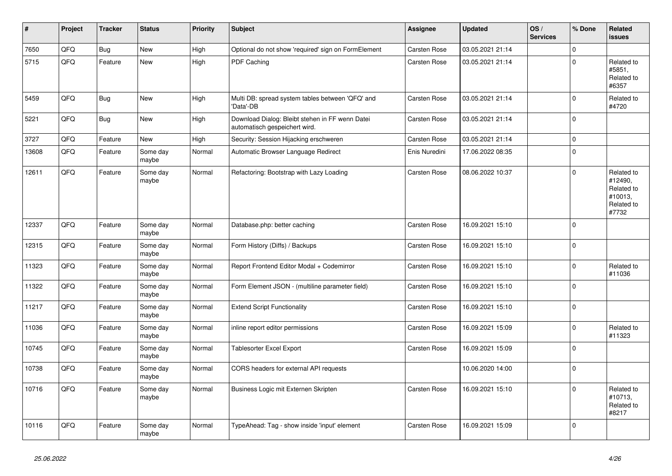| #     | <b>Project</b> | <b>Tracker</b> | <b>Status</b>     | <b>Priority</b> | <b>Subject</b>                                                                   | Assignee            | <b>Updated</b>   | OS/<br><b>Services</b> | % Done              | Related<br><b>issues</b>                                              |
|-------|----------------|----------------|-------------------|-----------------|----------------------------------------------------------------------------------|---------------------|------------------|------------------------|---------------------|-----------------------------------------------------------------------|
| 7650  | QFQ            | <b>Bug</b>     | <b>New</b>        | High            | Optional do not show 'required' sign on FormElement                              | Carsten Rose        | 03.05.2021 21:14 |                        | $\Omega$            |                                                                       |
| 5715  | QFQ            | Feature        | <b>New</b>        | High            | PDF Caching                                                                      | Carsten Rose        | 03.05.2021 21:14 |                        | $\Omega$            | Related to<br>#5851,<br>Related to<br>#6357                           |
| 5459  | QFQ            | Bug            | <b>New</b>        | High            | Multi DB: spread system tables between 'QFQ' and<br>'Data'-DB                    | Carsten Rose        | 03.05.2021 21:14 |                        | $\mathsf{O}\xspace$ | Related to<br>#4720                                                   |
| 5221  | QFQ            | <b>Bug</b>     | <b>New</b>        | High            | Download Dialog: Bleibt stehen in FF wenn Datei<br>automatisch gespeichert wird. | <b>Carsten Rose</b> | 03.05.2021 21:14 |                        | $\mathbf 0$         |                                                                       |
| 3727  | QFQ            | Feature        | <b>New</b>        | High            | Security: Session Hijacking erschweren                                           | <b>Carsten Rose</b> | 03.05.2021 21:14 |                        | $\mathbf 0$         |                                                                       |
| 13608 | QFQ            | Feature        | Some day<br>maybe | Normal          | Automatic Browser Language Redirect                                              | Enis Nuredini       | 17.06.2022 08:35 |                        | $\mathbf 0$         |                                                                       |
| 12611 | QFQ            | Feature        | Some day<br>maybe | Normal          | Refactoring: Bootstrap with Lazy Loading                                         | <b>Carsten Rose</b> | 08.06.2022 10:37 |                        | $\mathbf 0$         | Related to<br>#12490,<br>Related to<br>#10013,<br>Related to<br>#7732 |
| 12337 | QFQ            | Feature        | Some day<br>maybe | Normal          | Database.php: better caching                                                     | <b>Carsten Rose</b> | 16.09.2021 15:10 |                        | $\pmb{0}$           |                                                                       |
| 12315 | QFQ            | Feature        | Some day<br>maybe | Normal          | Form History (Diffs) / Backups                                                   | Carsten Rose        | 16.09.2021 15:10 |                        | $\mathsf 0$         |                                                                       |
| 11323 | QFQ            | Feature        | Some day<br>maybe | Normal          | Report Frontend Editor Modal + Codemirror                                        | Carsten Rose        | 16.09.2021 15:10 |                        | $\mathbf 0$         | Related to<br>#11036                                                  |
| 11322 | QFQ            | Feature        | Some day<br>maybe | Normal          | Form Element JSON - (multiline parameter field)                                  | <b>Carsten Rose</b> | 16.09.2021 15:10 |                        | $\mathbf 0$         |                                                                       |
| 11217 | QFQ            | Feature        | Some day<br>maybe | Normal          | <b>Extend Script Functionality</b>                                               | <b>Carsten Rose</b> | 16.09.2021 15:10 |                        | $\mathbf 0$         |                                                                       |
| 11036 | QFQ            | Feature        | Some day<br>maybe | Normal          | inline report editor permissions                                                 | <b>Carsten Rose</b> | 16.09.2021 15:09 |                        | $\mathbf 0$         | Related to<br>#11323                                                  |
| 10745 | QFQ            | Feature        | Some day<br>maybe | Normal          | Tablesorter Excel Export                                                         | Carsten Rose        | 16.09.2021 15:09 |                        | $\pmb{0}$           |                                                                       |
| 10738 | QFQ            | Feature        | Some day<br>maybe | Normal          | CORS headers for external API requests                                           |                     | 10.06.2020 14:00 |                        | $\Omega$            |                                                                       |
| 10716 | QFQ            | Feature        | Some day<br>maybe | Normal          | Business Logic mit Externen Skripten                                             | <b>Carsten Rose</b> | 16.09.2021 15:10 |                        | $\mathbf 0$         | Related to<br>#10713.<br>Related to<br>#8217                          |
| 10116 | QFQ            | Feature        | Some day<br>maybe | Normal          | TypeAhead: Tag - show inside 'input' element                                     | <b>Carsten Rose</b> | 16.09.2021 15:09 |                        | $\mathbf 0$         |                                                                       |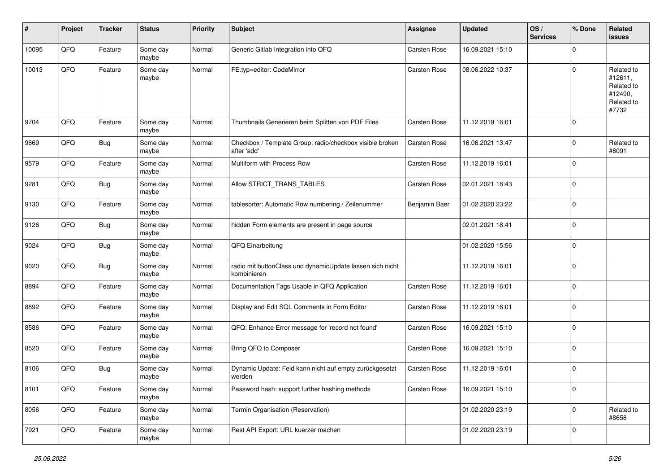| #     | Project | <b>Tracker</b> | <b>Status</b>     | <b>Priority</b> | Subject                                                                  | <b>Assignee</b>     | <b>Updated</b>   | OS/<br><b>Services</b> | % Done      | Related<br><b>issues</b>                                              |
|-------|---------|----------------|-------------------|-----------------|--------------------------------------------------------------------------|---------------------|------------------|------------------------|-------------|-----------------------------------------------------------------------|
| 10095 | QFQ     | Feature        | Some day<br>maybe | Normal          | Generic Gitlab Integration into QFQ                                      | Carsten Rose        | 16.09.2021 15:10 |                        | $\mathbf 0$ |                                                                       |
| 10013 | QFQ     | Feature        | Some day<br>maybe | Normal          | FE.typ=editor: CodeMirror                                                | Carsten Rose        | 08.06.2022 10:37 |                        | $\mathbf 0$ | Related to<br>#12611,<br>Related to<br>#12490,<br>Related to<br>#7732 |
| 9704  | QFQ     | Feature        | Some day<br>maybe | Normal          | Thumbnails Generieren beim Splitten von PDF Files                        | <b>Carsten Rose</b> | 11.12.2019 16:01 |                        | $\mathbf 0$ |                                                                       |
| 9669  | QFQ     | <b>Bug</b>     | Some day<br>maybe | Normal          | Checkbox / Template Group: radio/checkbox visible broken<br>after 'add'  | Carsten Rose        | 16.06.2021 13:47 |                        | $\mathbf 0$ | Related to<br>#8091                                                   |
| 9579  | QFQ     | Feature        | Some day<br>maybe | Normal          | Multiform with Process Row                                               | Carsten Rose        | 11.12.2019 16:01 |                        | $\mathbf 0$ |                                                                       |
| 9281  | QFQ     | <b>Bug</b>     | Some day<br>maybe | Normal          | Allow STRICT_TRANS_TABLES                                                | Carsten Rose        | 02.01.2021 18:43 |                        | $\mathbf 0$ |                                                                       |
| 9130  | QFQ     | Feature        | Some day<br>maybe | Normal          | tablesorter: Automatic Row numbering / Zeilenummer                       | Benjamin Baer       | 01.02.2020 23:22 |                        | $\mathbf 0$ |                                                                       |
| 9126  | QFQ     | <b>Bug</b>     | Some day<br>maybe | Normal          | hidden Form elements are present in page source                          |                     | 02.01.2021 18:41 |                        | $\mathbf 0$ |                                                                       |
| 9024  | QFQ     | <b>Bug</b>     | Some day<br>maybe | Normal          | QFQ Einarbeitung                                                         |                     | 01.02.2020 15:56 |                        | $\mathbf 0$ |                                                                       |
| 9020  | QFQ     | <b>Bug</b>     | Some day<br>maybe | Normal          | radio mit buttonClass und dynamicUpdate lassen sich nicht<br>kombinieren |                     | 11.12.2019 16:01 |                        | $\mathbf 0$ |                                                                       |
| 8894  | QFQ     | Feature        | Some day<br>maybe | Normal          | Documentation Tags Usable in QFQ Application                             | Carsten Rose        | 11.12.2019 16:01 |                        | $\mathbf 0$ |                                                                       |
| 8892  | QFQ     | Feature        | Some day<br>maybe | Normal          | Display and Edit SQL Comments in Form Editor                             | Carsten Rose        | 11.12.2019 16:01 |                        | $\mathbf 0$ |                                                                       |
| 8586  | QFQ     | Feature        | Some day<br>maybe | Normal          | QFQ: Enhance Error message for 'record not found'                        | Carsten Rose        | 16.09.2021 15:10 |                        | $\mathbf 0$ |                                                                       |
| 8520  | QFQ     | Feature        | Some day<br>maybe | Normal          | Bring QFQ to Composer                                                    | Carsten Rose        | 16.09.2021 15:10 |                        | $\mathbf 0$ |                                                                       |
| 8106  | QFQ     | <b>Bug</b>     | Some day<br>maybe | Normal          | Dynamic Update: Feld kann nicht auf empty zurückgesetzt<br>werden        | Carsten Rose        | 11.12.2019 16:01 |                        | $\mathbf 0$ |                                                                       |
| 8101  | QFQ     | Feature        | Some day<br>maybe | Normal          | Password hash: support further hashing methods                           | Carsten Rose        | 16.09.2021 15:10 |                        | $\mathbf 0$ |                                                                       |
| 8056  | QFQ     | Feature        | Some day<br>maybe | Normal          | Termin Organisation (Reservation)                                        |                     | 01.02.2020 23:19 |                        | $\mathbf 0$ | Related to<br>#8658                                                   |
| 7921  | QFQ     | Feature        | Some day<br>maybe | Normal          | Rest API Export: URL kuerzer machen                                      |                     | 01.02.2020 23:19 |                        | $\mathbf 0$ |                                                                       |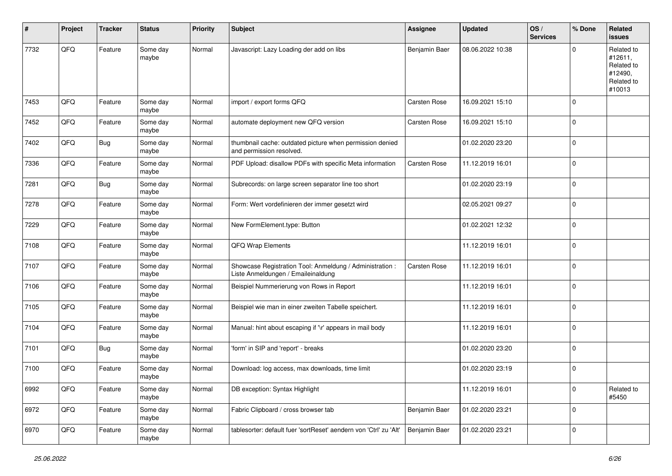| #    | Project | <b>Tracker</b> | <b>Status</b>     | <b>Priority</b> | Subject                                                                                        | <b>Assignee</b>     | <b>Updated</b>   | OS/<br><b>Services</b> | % Done      | Related<br><b>issues</b>                                               |
|------|---------|----------------|-------------------|-----------------|------------------------------------------------------------------------------------------------|---------------------|------------------|------------------------|-------------|------------------------------------------------------------------------|
| 7732 | QFQ     | Feature        | Some day<br>maybe | Normal          | Javascript: Lazy Loading der add on libs                                                       | Benjamin Baer       | 08.06.2022 10:38 |                        | $\Omega$    | Related to<br>#12611,<br>Related to<br>#12490,<br>Related to<br>#10013 |
| 7453 | QFQ     | Feature        | Some day<br>maybe | Normal          | import / export forms QFQ                                                                      | <b>Carsten Rose</b> | 16.09.2021 15:10 |                        | $\Omega$    |                                                                        |
| 7452 | QFQ     | Feature        | Some day<br>maybe | Normal          | automate deployment new QFQ version                                                            | <b>Carsten Rose</b> | 16.09.2021 15:10 |                        | l 0         |                                                                        |
| 7402 | QFQ     | Bug            | Some day<br>maybe | Normal          | thumbnail cache: outdated picture when permission denied<br>and permission resolved.           |                     | 01.02.2020 23:20 |                        | $\Omega$    |                                                                        |
| 7336 | QFQ     | Feature        | Some day<br>maybe | Normal          | PDF Upload: disallow PDFs with specific Meta information                                       | Carsten Rose        | 11.12.2019 16:01 |                        | l 0         |                                                                        |
| 7281 | QFQ     | Bug            | Some day<br>maybe | Normal          | Subrecords: on large screen separator line too short                                           |                     | 01.02.2020 23:19 |                        | 0           |                                                                        |
| 7278 | QFQ     | Feature        | Some day<br>maybe | Normal          | Form: Wert vordefinieren der immer gesetzt wird                                                |                     | 02.05.2021 09:27 |                        | l 0         |                                                                        |
| 7229 | QFQ     | Feature        | Some day<br>maybe | Normal          | New FormElement.type: Button                                                                   |                     | 01.02.2021 12:32 |                        | $\mathbf 0$ |                                                                        |
| 7108 | QFQ     | Feature        | Some day<br>maybe | Normal          | QFQ Wrap Elements                                                                              |                     | 11.12.2019 16:01 |                        | $\mathbf 0$ |                                                                        |
| 7107 | QFQ     | Feature        | Some day<br>maybe | Normal          | Showcase Registration Tool: Anmeldung / Administration :<br>Liste Anmeldungen / Emaileinaldung | <b>Carsten Rose</b> | 11.12.2019 16:01 |                        | $\mathbf 0$ |                                                                        |
| 7106 | QFQ     | Feature        | Some day<br>maybe | Normal          | Beispiel Nummerierung von Rows in Report                                                       |                     | 11.12.2019 16:01 |                        | $\Omega$    |                                                                        |
| 7105 | QFQ     | Feature        | Some day<br>maybe | Normal          | Beispiel wie man in einer zweiten Tabelle speichert.                                           |                     | 11.12.2019 16:01 |                        | l 0         |                                                                        |
| 7104 | QFQ     | Feature        | Some day<br>maybe | Normal          | Manual: hint about escaping if '\r' appears in mail body                                       |                     | 11.12.2019 16:01 |                        | 0           |                                                                        |
| 7101 | QFQ     | <b>Bug</b>     | Some day<br>maybe | Normal          | 'form' in SIP and 'report' - breaks                                                            |                     | 01.02.2020 23:20 |                        | 0           |                                                                        |
| 7100 | QFQ     | Feature        | Some day<br>maybe | Normal          | Download: log access, max downloads, time limit                                                |                     | 01.02.2020 23:19 |                        | $\Omega$    |                                                                        |
| 6992 | QFQ     | Feature        | Some day<br>maybe | Normal          | DB exception: Syntax Highlight                                                                 |                     | 11.12.2019 16:01 |                        | 0           | Related to<br>#5450                                                    |
| 6972 | QFQ     | Feature        | Some day<br>maybe | Normal          | Fabric Clipboard / cross browser tab                                                           | Benjamin Baer       | 01.02.2020 23:21 |                        | 0           |                                                                        |
| 6970 | QFQ     | Feature        | Some day<br>maybe | Normal          | tablesorter: default fuer 'sortReset' aendern von 'Ctrl' zu 'Alt'                              | Benjamin Baer       | 01.02.2020 23:21 |                        | $\mathbf 0$ |                                                                        |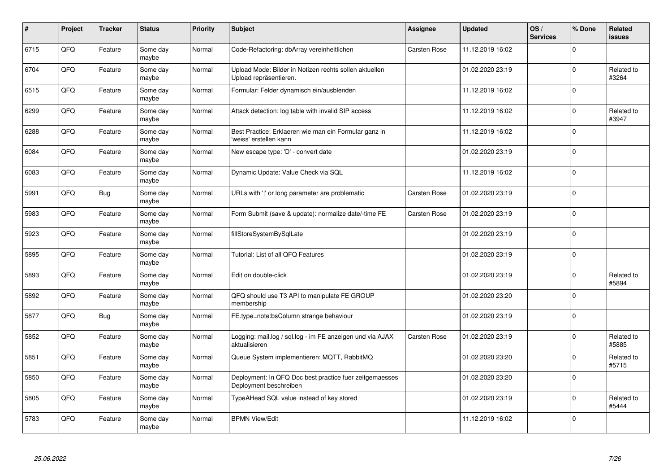| $\pmb{\#}$ | Project | <b>Tracker</b> | <b>Status</b>     | <b>Priority</b> | <b>Subject</b>                                                                    | Assignee            | <b>Updated</b>   | OS/<br><b>Services</b> | % Done      | <b>Related</b><br><b>issues</b> |
|------------|---------|----------------|-------------------|-----------------|-----------------------------------------------------------------------------------|---------------------|------------------|------------------------|-------------|---------------------------------|
| 6715       | QFQ     | Feature        | Some day<br>maybe | Normal          | Code-Refactoring: dbArray vereinheitlichen                                        | <b>Carsten Rose</b> | 11.12.2019 16:02 |                        | $\Omega$    |                                 |
| 6704       | QFQ     | Feature        | Some day<br>maybe | Normal          | Upload Mode: Bilder in Notizen rechts sollen aktuellen<br>Upload repräsentieren.  |                     | 01.02.2020 23:19 |                        | $\mathbf 0$ | Related to<br>#3264             |
| 6515       | QFQ     | Feature        | Some day<br>maybe | Normal          | Formular: Felder dynamisch ein/ausblenden                                         |                     | 11.12.2019 16:02 |                        | $\mathbf 0$ |                                 |
| 6299       | QFQ     | Feature        | Some day<br>maybe | Normal          | Attack detection: log table with invalid SIP access                               |                     | 11.12.2019 16:02 |                        | $\Omega$    | Related to<br>#3947             |
| 6288       | QFQ     | Feature        | Some day<br>maybe | Normal          | Best Practice: Erklaeren wie man ein Formular ganz in<br>'weiss' erstellen kann   |                     | 11.12.2019 16:02 |                        | $\mathbf 0$ |                                 |
| 6084       | QFQ     | Feature        | Some day<br>maybe | Normal          | New escape type: 'D' - convert date                                               |                     | 01.02.2020 23:19 |                        | $\mathbf 0$ |                                 |
| 6083       | QFQ     | Feature        | Some day<br>maybe | Normal          | Dynamic Update: Value Check via SQL                                               |                     | 11.12.2019 16:02 |                        | $\mathbf 0$ |                                 |
| 5991       | QFQ     | Bug            | Some day<br>maybe | Normal          | URLs with ' ' or long parameter are problematic                                   | Carsten Rose        | 01.02.2020 23:19 |                        | $\Omega$    |                                 |
| 5983       | QFQ     | Feature        | Some day<br>maybe | Normal          | Form Submit (save & update): normalize date/-time FE                              | <b>Carsten Rose</b> | 01.02.2020 23:19 |                        | $\mathbf 0$ |                                 |
| 5923       | QFQ     | Feature        | Some day<br>maybe | Normal          | fillStoreSystemBySqlLate                                                          |                     | 01.02.2020 23:19 |                        | $\mathbf 0$ |                                 |
| 5895       | QFQ     | Feature        | Some day<br>maybe | Normal          | Tutorial: List of all QFQ Features                                                |                     | 01.02.2020 23:19 |                        | $\mathbf 0$ |                                 |
| 5893       | QFQ     | Feature        | Some day<br>maybe | Normal          | Edit on double-click                                                              |                     | 01.02.2020 23:19 |                        | $\Omega$    | Related to<br>#5894             |
| 5892       | QFQ     | Feature        | Some day<br>maybe | Normal          | QFQ should use T3 API to manipulate FE GROUP<br>membership                        |                     | 01.02.2020 23:20 |                        | $\mathbf 0$ |                                 |
| 5877       | QFQ     | Bug            | Some day<br>maybe | Normal          | FE.type=note:bsColumn strange behaviour                                           |                     | 01.02.2020 23:19 |                        | $\mathbf 0$ |                                 |
| 5852       | QFQ     | Feature        | Some day<br>maybe | Normal          | Logging: mail.log / sql.log - im FE anzeigen und via AJAX<br>aktualisieren        | Carsten Rose        | 01.02.2020 23:19 |                        | $\Omega$    | Related to<br>#5885             |
| 5851       | QFQ     | Feature        | Some day<br>maybe | Normal          | Queue System implementieren: MQTT, RabbitMQ                                       |                     | 01.02.2020 23:20 |                        | $\mathbf 0$ | Related to<br>#5715             |
| 5850       | QFQ     | Feature        | Some day<br>maybe | Normal          | Deployment: In QFQ Doc best practice fuer zeitgemaesses<br>Deployment beschreiben |                     | 01.02.2020 23:20 |                        | $\mathbf 0$ |                                 |
| 5805       | QFQ     | Feature        | Some day<br>maybe | Normal          | TypeAHead SQL value instead of key stored                                         |                     | 01.02.2020 23:19 |                        | $\mathbf 0$ | Related to<br>#5444             |
| 5783       | QFQ     | Feature        | Some day<br>maybe | Normal          | <b>BPMN View/Edit</b>                                                             |                     | 11.12.2019 16:02 |                        | $\Omega$    |                                 |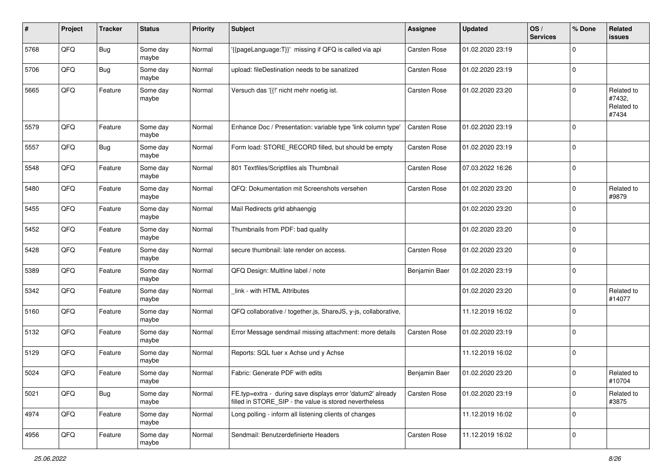| #    | Project | <b>Tracker</b> | <b>Status</b>     | <b>Priority</b> | Subject                                                                                                              | <b>Assignee</b>     | <b>Updated</b>   | OS/<br><b>Services</b> | % Done      | Related<br>issues                           |
|------|---------|----------------|-------------------|-----------------|----------------------------------------------------------------------------------------------------------------------|---------------------|------------------|------------------------|-------------|---------------------------------------------|
| 5768 | QFQ     | <b>Bug</b>     | Some day<br>maybe | Normal          | {{pageLanguage:T}}' missing if QFQ is called via api                                                                 | Carsten Rose        | 01.02.2020 23:19 |                        | $\mathbf 0$ |                                             |
| 5706 | QFQ     | <b>Bug</b>     | Some day<br>maybe | Normal          | upload: fileDestination needs to be sanatized                                                                        | Carsten Rose        | 01.02.2020 23:19 |                        | $\mathbf 0$ |                                             |
| 5665 | QFQ     | Feature        | Some day<br>maybe | Normal          | Versuch das '{{!' nicht mehr noetig ist.                                                                             | <b>Carsten Rose</b> | 01.02.2020 23:20 |                        | $\mathbf 0$ | Related to<br>#7432,<br>Related to<br>#7434 |
| 5579 | QFQ     | Feature        | Some day<br>maybe | Normal          | Enhance Doc / Presentation: variable type 'link column type'                                                         | Carsten Rose        | 01.02.2020 23:19 |                        | $\mathbf 0$ |                                             |
| 5557 | QFQ     | <b>Bug</b>     | Some day<br>maybe | Normal          | Form load: STORE_RECORD filled, but should be empty                                                                  | Carsten Rose        | 01.02.2020 23:19 |                        | $\mathbf 0$ |                                             |
| 5548 | QFQ     | Feature        | Some day<br>maybe | Normal          | 801 Textfiles/Scriptfiles als Thumbnail                                                                              | Carsten Rose        | 07.03.2022 16:26 |                        | $\mathbf 0$ |                                             |
| 5480 | QFQ     | Feature        | Some day<br>maybe | Normal          | QFQ: Dokumentation mit Screenshots versehen                                                                          | Carsten Rose        | 01.02.2020 23:20 |                        | $\mathbf 0$ | Related to<br>#9879                         |
| 5455 | QFQ     | Feature        | Some day<br>maybe | Normal          | Mail Redirects grld abhaengig                                                                                        |                     | 01.02.2020 23:20 |                        | $\mathbf 0$ |                                             |
| 5452 | QFQ     | Feature        | Some day<br>maybe | Normal          | Thumbnails from PDF: bad quality                                                                                     |                     | 01.02.2020 23:20 |                        | $\mathbf 0$ |                                             |
| 5428 | QFQ     | Feature        | Some day<br>maybe | Normal          | secure thumbnail: late render on access.                                                                             | Carsten Rose        | 01.02.2020 23:20 |                        | $\mathbf 0$ |                                             |
| 5389 | QFQ     | Feature        | Some day<br>maybe | Normal          | QFQ Design: Multline label / note                                                                                    | Benjamin Baer       | 01.02.2020 23:19 |                        | $\mathbf 0$ |                                             |
| 5342 | QFQ     | Feature        | Some day<br>maybe | Normal          | link - with HTML Attributes                                                                                          |                     | 01.02.2020 23:20 |                        | $\mathbf 0$ | Related to<br>#14077                        |
| 5160 | QFQ     | Feature        | Some day<br>maybe | Normal          | QFQ collaborative / together.js, ShareJS, y-js, collaborative,                                                       |                     | 11.12.2019 16:02 |                        | $\mathbf 0$ |                                             |
| 5132 | QFQ     | Feature        | Some day<br>maybe | Normal          | Error Message sendmail missing attachment: more details                                                              | Carsten Rose        | 01.02.2020 23:19 |                        | $\mathbf 0$ |                                             |
| 5129 | QFQ     | Feature        | Some day<br>maybe | Normal          | Reports: SQL fuer x Achse und y Achse                                                                                |                     | 11.12.2019 16:02 |                        | $\mathbf 0$ |                                             |
| 5024 | QFQ     | Feature        | Some day<br>maybe | Normal          | Fabric: Generate PDF with edits                                                                                      | Benjamin Baer       | 01.02.2020 23:20 |                        | $\mathbf 0$ | Related to<br>#10704                        |
| 5021 | QFQ     | Bug            | Some day<br>maybe | Normal          | FE.typ=extra - during save displays error 'datum2' already<br>filled in STORE_SIP - the value is stored nevertheless | <b>Carsten Rose</b> | 01.02.2020 23:19 |                        | $\mathbf 0$ | Related to<br>#3875                         |
| 4974 | QFQ     | Feature        | Some day<br>maybe | Normal          | Long polling - inform all listening clients of changes                                                               |                     | 11.12.2019 16:02 |                        | $\mathbf 0$ |                                             |
| 4956 | QFQ     | Feature        | Some day<br>maybe | Normal          | Sendmail: Benutzerdefinierte Headers                                                                                 | Carsten Rose        | 11.12.2019 16:02 |                        | $\mathbf 0$ |                                             |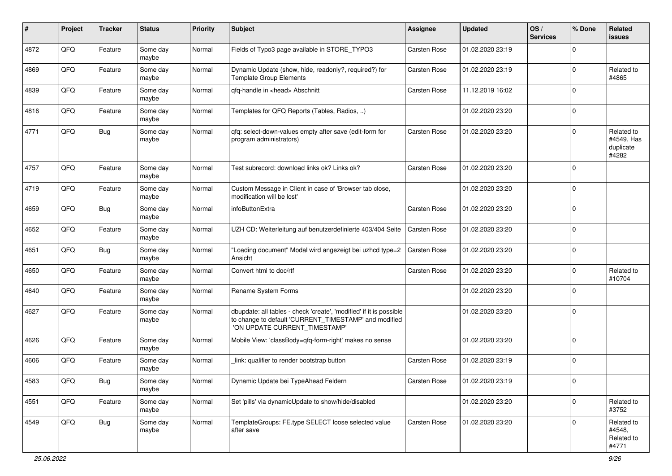| #    | Project | <b>Tracker</b> | <b>Status</b>     | <b>Priority</b> | Subject                                                                                                                                                       | Assignee            | <b>Updated</b>   | OS/<br><b>Services</b> | % Done      | Related<br>issues                              |
|------|---------|----------------|-------------------|-----------------|---------------------------------------------------------------------------------------------------------------------------------------------------------------|---------------------|------------------|------------------------|-------------|------------------------------------------------|
| 4872 | QFQ     | Feature        | Some day<br>maybe | Normal          | Fields of Typo3 page available in STORE_TYPO3                                                                                                                 | Carsten Rose        | 01.02.2020 23:19 |                        | $\Omega$    |                                                |
| 4869 | QFQ     | Feature        | Some day<br>maybe | Normal          | Dynamic Update (show, hide, readonly?, required?) for<br><b>Template Group Elements</b>                                                                       | Carsten Rose        | 01.02.2020 23:19 |                        | $\mathbf 0$ | Related to<br>#4865                            |
| 4839 | QFQ     | Feature        | Some day<br>maybe | Normal          | qfq-handle in <head> Abschnitt</head>                                                                                                                         | <b>Carsten Rose</b> | 11.12.2019 16:02 |                        | $\mathbf 0$ |                                                |
| 4816 | QFQ     | Feature        | Some day<br>maybe | Normal          | Templates for QFQ Reports (Tables, Radios, )                                                                                                                  |                     | 01.02.2020 23:20 |                        | $\mathbf 0$ |                                                |
| 4771 | QFQ     | <b>Bug</b>     | Some day<br>maybe | Normal          | qfq: select-down-values empty after save (edit-form for<br>program administrators)                                                                            | <b>Carsten Rose</b> | 01.02.2020 23:20 |                        | $\Omega$    | Related to<br>#4549, Has<br>duplicate<br>#4282 |
| 4757 | QFQ     | Feature        | Some day<br>maybe | Normal          | Test subrecord: download links ok? Links ok?                                                                                                                  | Carsten Rose        | 01.02.2020 23:20 |                        | $\mathbf 0$ |                                                |
| 4719 | QFQ     | Feature        | Some day<br>maybe | Normal          | Custom Message in Client in case of 'Browser tab close,<br>modification will be lost'                                                                         |                     | 01.02.2020 23:20 |                        | $\mathbf 0$ |                                                |
| 4659 | QFQ     | <b>Bug</b>     | Some day<br>maybe | Normal          | infoButtonExtra                                                                                                                                               | <b>Carsten Rose</b> | 01.02.2020 23:20 |                        | $\mathbf 0$ |                                                |
| 4652 | QFQ     | Feature        | Some day<br>maybe | Normal          | UZH CD: Weiterleitung auf benutzerdefinierte 403/404 Seite                                                                                                    | <b>Carsten Rose</b> | 01.02.2020 23:20 |                        | $\mathbf 0$ |                                                |
| 4651 | QFQ     | <b>Bug</b>     | Some day<br>maybe | Normal          | 'Loading document" Modal wird angezeigt bei uzhcd type=2<br>Ansicht                                                                                           | <b>Carsten Rose</b> | 01.02.2020 23:20 |                        | $\mathbf 0$ |                                                |
| 4650 | QFQ     | Feature        | Some day<br>maybe | Normal          | Convert html to doc/rtf                                                                                                                                       | Carsten Rose        | 01.02.2020 23:20 |                        | $\mathbf 0$ | Related to<br>#10704                           |
| 4640 | QFQ     | Feature        | Some day<br>maybe | Normal          | Rename System Forms                                                                                                                                           |                     | 01.02.2020 23:20 |                        | $\Omega$    |                                                |
| 4627 | QFQ     | Feature        | Some day<br>maybe | Normal          | dbupdate: all tables - check 'create', 'modified' if it is possible<br>to change to default 'CURRENT_TIMESTAMP' and modified<br>'ON UPDATE CURRENT_TIMESTAMP' |                     | 01.02.2020 23:20 |                        | $\mathbf 0$ |                                                |
| 4626 | QFQ     | Feature        | Some day<br>maybe | Normal          | Mobile View: 'classBody=qfq-form-right' makes no sense                                                                                                        |                     | 01.02.2020 23:20 |                        | $\Omega$    |                                                |
| 4606 | QFQ     | Feature        | Some day<br>maybe | Normal          | link: qualifier to render bootstrap button                                                                                                                    | Carsten Rose        | 01.02.2020 23:19 |                        | $\Omega$    |                                                |
| 4583 | QFQ     | <b>Bug</b>     | Some day<br>maybe | Normal          | Dynamic Update bei TypeAhead Feldern                                                                                                                          | Carsten Rose        | 01.02.2020 23:19 |                        | $\pmb{0}$   |                                                |
| 4551 | QFQ     | Feature        | Some day<br>maybe | Normal          | Set 'pills' via dynamicUpdate to show/hide/disabled                                                                                                           |                     | 01.02.2020 23:20 |                        | $\mathbf 0$ | Related to<br>#3752                            |
| 4549 | QFQ     | <b>Bug</b>     | Some day<br>maybe | Normal          | TemplateGroups: FE.type SELECT loose selected value<br>after save                                                                                             | Carsten Rose        | 01.02.2020 23:20 |                        | $\mathbf 0$ | Related to<br>#4548,<br>Related to<br>#4771    |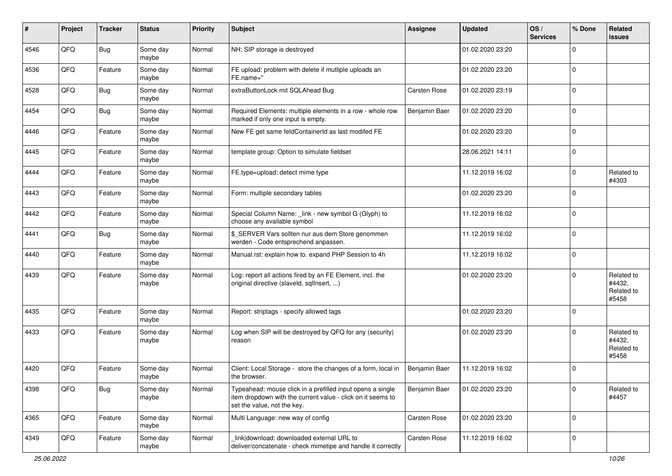| #    | Project | <b>Tracker</b> | <b>Status</b>     | Priority | Subject                                                                                                                                                  | <b>Assignee</b>     | <b>Updated</b>   | OS/<br><b>Services</b> | % Done       | Related<br><b>issues</b>                    |
|------|---------|----------------|-------------------|----------|----------------------------------------------------------------------------------------------------------------------------------------------------------|---------------------|------------------|------------------------|--------------|---------------------------------------------|
| 4546 | QFQ     | <b>Bug</b>     | Some day<br>maybe | Normal   | NH: SIP storage is destroyed                                                                                                                             |                     | 01.02.2020 23:20 |                        | $\Omega$     |                                             |
| 4536 | QFQ     | Feature        | Some day<br>maybe | Normal   | FE upload: problem with delete if mutliple uploads an<br>FE.name="                                                                                       |                     | 01.02.2020 23:20 |                        | l 0          |                                             |
| 4528 | QFQ     | <b>Bug</b>     | Some day<br>maybe | Normal   | extraButtonLock mit SQLAhead Bug                                                                                                                         | <b>Carsten Rose</b> | 01.02.2020 23:19 |                        | $\Omega$     |                                             |
| 4454 | QFQ     | Bug            | Some day<br>maybe | Normal   | Required Elements: multiple elements in a row - whole row<br>marked if only one input is empty.                                                          | Benjamin Baer       | 01.02.2020 23:20 |                        | $\mathbf 0$  |                                             |
| 4446 | QFQ     | Feature        | Some day<br>maybe | Normal   | New FE get same feldContainerId as last modifed FE                                                                                                       |                     | 01.02.2020 23:20 |                        | $\mathbf 0$  |                                             |
| 4445 | QFQ     | Feature        | Some day<br>maybe | Normal   | template group: Option to simulate fieldset                                                                                                              |                     | 28.06.2021 14:11 |                        | $\Omega$     |                                             |
| 4444 | QFQ     | Feature        | Some day<br>maybe | Normal   | FE.type=upload: detect mime type                                                                                                                         |                     | 11.12.2019 16:02 |                        | $\mathbf{0}$ | Related to<br>#4303                         |
| 4443 | QFQ     | Feature        | Some day<br>maybe | Normal   | Form: multiple secondary tables                                                                                                                          |                     | 01.02.2020 23:20 |                        | $\Omega$     |                                             |
| 4442 | QFQ     | Feature        | Some day<br>maybe | Normal   | Special Column Name: _link - new symbol G (Glyph) to<br>choose any available symbol                                                                      |                     | 11.12.2019 16:02 |                        | l 0          |                                             |
| 4441 | QFQ     | Bug            | Some day<br>maybe | Normal   | \$_SERVER Vars sollten nur aus dem Store genommen<br>werden - Code entsprechend anpassen.                                                                |                     | 11.12.2019 16:02 |                        | $\mathbf{0}$ |                                             |
| 4440 | QFQ     | Feature        | Some day<br>maybe | Normal   | Manual.rst: explain how to. expand PHP Session to 4h                                                                                                     |                     | 11.12.2019 16:02 |                        | l 0          |                                             |
| 4439 | QFQ     | Feature        | Some day<br>maybe | Normal   | Log: report all actions fired by an FE Element, incl. the<br>original directive (slaveld, sqllnsert, )                                                   |                     | 01.02.2020 23:20 |                        | $\Omega$     | Related to<br>#4432,<br>Related to<br>#5458 |
| 4435 | QFQ     | Feature        | Some day<br>maybe | Normal   | Report: striptags - specify allowed tags                                                                                                                 |                     | 01.02.2020 23:20 |                        | $\Omega$     |                                             |
| 4433 | QFQ     | Feature        | Some day<br>maybe | Normal   | Log when SIP will be destroyed by QFQ for any (security)<br>reason                                                                                       |                     | 01.02.2020 23:20 |                        | $\Omega$     | Related to<br>#4432,<br>Related to<br>#5458 |
| 4420 | QFQ     | Feature        | Some day<br>maybe | Normal   | Client: Local Storage - store the changes of a form, local in<br>the browser.                                                                            | Benjamin Baer       | 11.12.2019 16:02 |                        | $\Omega$     |                                             |
| 4398 | QFG     | <b>Bug</b>     | Some day<br>maybe | Normal   | Typeahead: mouse click in a prefilled input opens a single<br>item dropdown with the current value - click on it seems to<br>set the value, not the key. | Benjamin Baer       | 01.02.2020 23:20 |                        | 0            | Related to<br>#4457                         |
| 4365 | QFQ     | Feature        | Some day<br>maybe | Normal   | Multi Language: new way of config                                                                                                                        | Carsten Rose        | 01.02.2020 23:20 |                        | l 0          |                                             |
| 4349 | QFQ     | Feature        | Some day<br>maybe | Normal   | link download: downloaded external URL to<br>deliver/concatenate - check mimetipe and handle it correctly                                                | Carsten Rose        | 11.12.2019 16:02 |                        | 0            |                                             |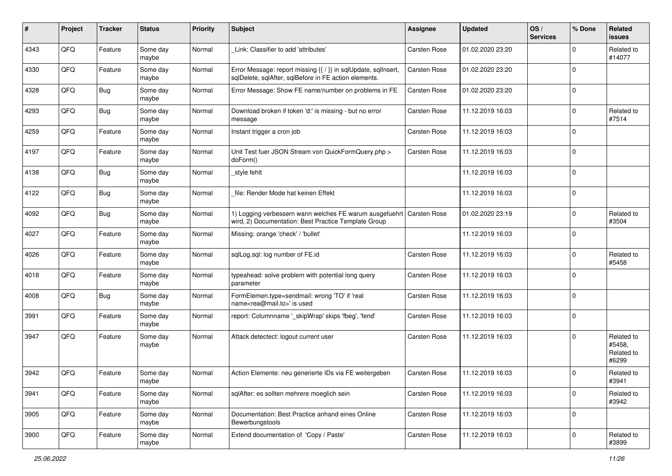| ∦    | Project | <b>Tracker</b> | <b>Status</b>     | <b>Priority</b> | Subject                                                                                                                 | Assignee     | <b>Updated</b>   | OS/<br><b>Services</b> | % Done      | Related<br><b>issues</b>                    |
|------|---------|----------------|-------------------|-----------------|-------------------------------------------------------------------------------------------------------------------------|--------------|------------------|------------------------|-------------|---------------------------------------------|
| 4343 | QFQ     | Feature        | Some day<br>maybe | Normal          | Link: Classifier to add 'attributes'                                                                                    | Carsten Rose | 01.02.2020 23:20 |                        | $\mathbf 0$ | Related to<br>#14077                        |
| 4330 | QFQ     | Feature        | Some day<br>maybe | Normal          | Error Message: report missing {{ / }} in sqlUpdate, sqlInsert,<br>sqlDelete, sqlAfter, sqlBefore in FE action elements. | Carsten Rose | 01.02.2020 23:20 |                        | $\mathbf 0$ |                                             |
| 4328 | QFQ     | <b>Bug</b>     | Some day<br>maybe | Normal          | Error Message: Show FE name/number on problems in FE                                                                    | Carsten Rose | 01.02.2020 23:20 |                        | 0           |                                             |
| 4293 | QFQ     | <b>Bug</b>     | Some day<br>maybe | Normal          | Download broken if token 'd:' is missing - but no error<br>message                                                      | Carsten Rose | 11.12.2019 16:03 |                        | $\mathbf 0$ | Related to<br>#7514                         |
| 4259 | QFQ     | Feature        | Some day<br>maybe | Normal          | Instant trigger a cron job                                                                                              | Carsten Rose | 11.12.2019 16:03 |                        | $\mathbf 0$ |                                             |
| 4197 | QFQ     | Feature        | Some day<br>maybe | Normal          | Unit Test fuer JSON Stream von QuickFormQuery.php ><br>doForm()                                                         | Carsten Rose | 11.12.2019 16:03 |                        | $\mathbf 0$ |                                             |
| 4138 | QFQ     | <b>Bug</b>     | Some day<br>maybe | Normal          | style fehlt                                                                                                             |              | 11.12.2019 16:03 |                        | 0           |                                             |
| 4122 | QFQ     | <b>Bug</b>     | Some day<br>maybe | Normal          | file: Render Mode hat keinen Effekt                                                                                     |              | 11.12.2019 16:03 |                        | 0           |                                             |
| 4092 | QFQ     | <b>Bug</b>     | Some day<br>maybe | Normal          | 1) Logging verbessern wann welches FE warum ausgefuehrt<br>wird, 2) Documentation: Best Practice Template Group         | Carsten Rose | 01.02.2020 23:19 |                        | $\mathbf 0$ | Related to<br>#3504                         |
| 4027 | QFQ     | Feature        | Some day<br>maybe | Normal          | Missing: orange 'check' / 'bullet'                                                                                      |              | 11.12.2019 16:03 |                        | $\mathbf 0$ |                                             |
| 4026 | QFQ     | Feature        | Some day<br>maybe | Normal          | sqlLog.sql: log number of FE.id                                                                                         | Carsten Rose | 11.12.2019 16:03 |                        | $\mathbf 0$ | Related to<br>#5458                         |
| 4018 | QFQ     | Feature        | Some day<br>maybe | Normal          | typeahead: solve problem with potential long query<br>parameter                                                         | Carsten Rose | 11.12.2019 16:03 |                        | $\mathbf 0$ |                                             |
| 4008 | QFQ     | <b>Bug</b>     | Some day<br>maybe | Normal          | FormElemen.type=sendmail: wrong 'TO' if 'real<br>name <rea@mail.to>' is used</rea@mail.to>                              | Carsten Rose | 11.12.2019 16:03 |                        | $\Omega$    |                                             |
| 3991 | QFQ     | Feature        | Some day<br>maybe | Normal          | report: Columnname '_skipWrap' skips 'fbeg', 'fend'                                                                     | Carsten Rose | 11.12.2019 16:03 |                        | $\mathbf 0$ |                                             |
| 3947 | QFQ     | Feature        | Some day<br>maybe | Normal          | Attack detectect: logout current user                                                                                   | Carsten Rose | 11.12.2019 16:03 |                        | $\mathbf 0$ | Related to<br>#5458.<br>Related to<br>#6299 |
| 3942 | QFQ     | Feature        | Some day<br>maybe | Normal          | Action Elemente: neu generierte IDs via FE weitergeben                                                                  | Carsten Rose | 11.12.2019 16:03 |                        | $\mathbf 0$ | Related to<br>#3941                         |
| 3941 | QFQ     | Feature        | Some day<br>maybe | Normal          | sqlAfter: es sollten mehrere moeglich sein                                                                              | Carsten Rose | 11.12.2019 16:03 |                        | $\mathbf 0$ | Related to<br>#3942                         |
| 3905 | QFQ     | Feature        | Some day<br>maybe | Normal          | Documentation: Best Practice anhand eines Online<br>Bewerbungstools                                                     | Carsten Rose | 11.12.2019 16:03 |                        | $\mathbf 0$ |                                             |
| 3900 | QFO     | Feature        | Some day<br>maybe | Normal          | Extend documentation of 'Copy / Paste'                                                                                  | Carsten Rose | 11.12.2019 16:03 |                        | $\mathbf 0$ | Related to<br>#3899                         |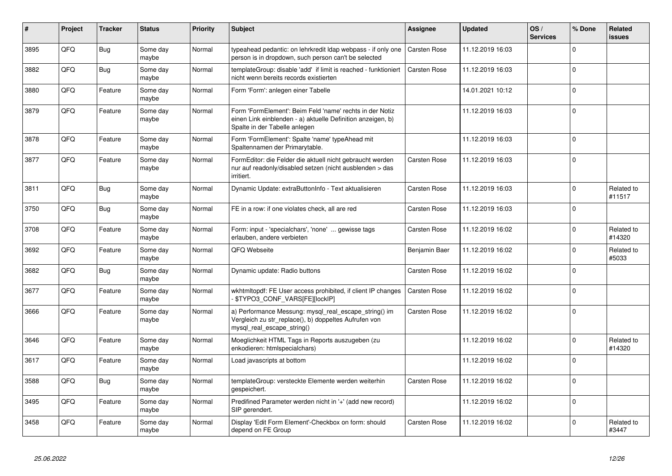| #    | Project | <b>Tracker</b> | <b>Status</b>     | <b>Priority</b> | <b>Subject</b>                                                                                                                                           | <b>Assignee</b>     | <b>Updated</b>   | OS/<br><b>Services</b> | % Done       | Related<br><b>issues</b> |
|------|---------|----------------|-------------------|-----------------|----------------------------------------------------------------------------------------------------------------------------------------------------------|---------------------|------------------|------------------------|--------------|--------------------------|
| 3895 | QFQ     | <b>Bug</b>     | Some day<br>maybe | Normal          | typeahead pedantic: on lehrkredit Idap webpass - if only one<br>person is in dropdown, such person can't be selected                                     | <b>Carsten Rose</b> | 11.12.2019 16:03 |                        | $\Omega$     |                          |
| 3882 | QFQ     | Bug            | Some day<br>maybe | Normal          | templateGroup: disable 'add' if limit is reached - funktioniert<br>nicht wenn bereits records existierten                                                | Carsten Rose        | 11.12.2019 16:03 |                        | $\Omega$     |                          |
| 3880 | QFQ     | Feature        | Some day<br>maybe | Normal          | Form 'Form': anlegen einer Tabelle                                                                                                                       |                     | 14.01.2021 10:12 |                        | $\Omega$     |                          |
| 3879 | QFQ     | Feature        | Some day<br>maybe | Normal          | Form 'FormElement': Beim Feld 'name' rechts in der Notiz<br>einen Link einblenden - a) aktuelle Definition anzeigen, b)<br>Spalte in der Tabelle anlegen |                     | 11.12.2019 16:03 |                        | $\Omega$     |                          |
| 3878 | QFQ     | Feature        | Some day<br>maybe | Normal          | Form 'FormElement': Spalte 'name' typeAhead mit<br>Spaltennamen der Primarytable.                                                                        |                     | 11.12.2019 16:03 |                        | $\Omega$     |                          |
| 3877 | QFQ     | Feature        | Some day<br>maybe | Normal          | FormEditor: die Felder die aktuell nicht gebraucht werden<br>nur auf readonly/disabled setzen (nicht ausblenden > das<br>irritiert.                      | <b>Carsten Rose</b> | 11.12.2019 16:03 |                        | $\Omega$     |                          |
| 3811 | QFQ     | <b>Bug</b>     | Some day<br>maybe | Normal          | Dynamic Update: extraButtonInfo - Text aktualisieren                                                                                                     | <b>Carsten Rose</b> | 11.12.2019 16:03 |                        | $\Omega$     | Related to<br>#11517     |
| 3750 | QFQ     | <b>Bug</b>     | Some day<br>maybe | Normal          | FE in a row: if one violates check, all are red                                                                                                          | <b>Carsten Rose</b> | 11.12.2019 16:03 |                        | $\Omega$     |                          |
| 3708 | QFQ     | Feature        | Some day<br>maybe | Normal          | Form: input - 'specialchars', 'none'  gewisse tags<br>erlauben, andere verbieten                                                                         | <b>Carsten Rose</b> | 11.12.2019 16:02 |                        | $\Omega$     | Related to<br>#14320     |
| 3692 | QFQ     | Feature        | Some day<br>maybe | Normal          | QFQ Webseite                                                                                                                                             | Benjamin Baer       | 11.12.2019 16:02 |                        | $\Omega$     | Related to<br>#5033      |
| 3682 | QFQ     | <b>Bug</b>     | Some day<br>maybe | Normal          | Dynamic update: Radio buttons                                                                                                                            | <b>Carsten Rose</b> | 11.12.2019 16:02 |                        | $\Omega$     |                          |
| 3677 | QFQ     | Feature        | Some day<br>maybe | Normal          | wkhtmitopdf: FE User access prohibited, if client IP changes<br>\$TYPO3_CONF_VARS[FE][lockIP]                                                            | <b>Carsten Rose</b> | 11.12.2019 16:02 |                        | $\Omega$     |                          |
| 3666 | QFQ     | Feature        | Some day<br>maybe | Normal          | a) Performance Messung: mysql_real_escape_string() im<br>Vergleich zu str_replace(), b) doppeltes Aufrufen von<br>mysql real escape string()             | Carsten Rose        | 11.12.2019 16:02 |                        | $\Omega$     |                          |
| 3646 | QFQ     | Feature        | Some day<br>maybe | Normal          | Moeglichkeit HTML Tags in Reports auszugeben (zu<br>enkodieren: htmlspecialchars)                                                                        |                     | 11.12.2019 16:02 |                        | $\Omega$     | Related to<br>#14320     |
| 3617 | QFQ     | Feature        | Some day<br>maybe | Normal          | Load javascripts at bottom                                                                                                                               |                     | 11.12.2019 16:02 |                        | $\Omega$     |                          |
| 3588 | QFQ     | <b>Bug</b>     | Some day<br>maybe | Normal          | templateGroup: versteckte Elemente werden weiterhin<br>gespeichert.                                                                                      | <b>Carsten Rose</b> | 11.12.2019 16:02 |                        | $\Omega$     |                          |
| 3495 | QFQ     | Feature        | Some day<br>maybe | Normal          | Predifined Parameter werden nicht in '+' (add new record)<br>SIP gerendert.                                                                              |                     | 11.12.2019 16:02 |                        | $\Omega$     |                          |
| 3458 | QFQ     | Feature        | Some day<br>maybe | Normal          | Display 'Edit Form Element'-Checkbox on form: should<br>depend on FE Group                                                                               | Carsten Rose        | 11.12.2019 16:02 |                        | <sup>0</sup> | Related to<br>#3447      |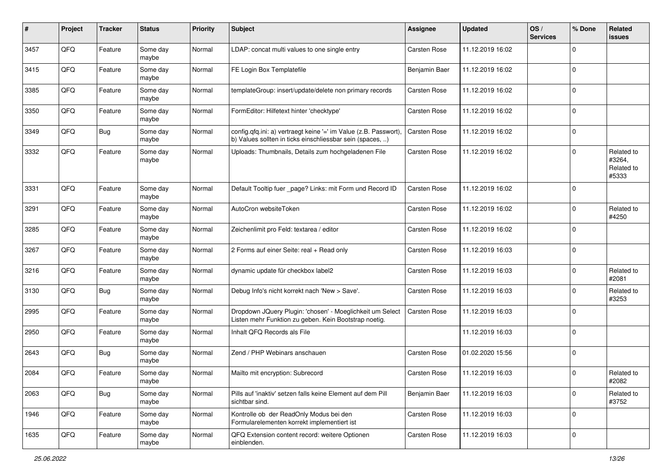| #    | Project | <b>Tracker</b> | <b>Status</b>     | <b>Priority</b> | Subject                                                                                                                       | Assignee            | <b>Updated</b>   | OS/<br><b>Services</b> | % Done         | Related<br><b>issues</b>                    |
|------|---------|----------------|-------------------|-----------------|-------------------------------------------------------------------------------------------------------------------------------|---------------------|------------------|------------------------|----------------|---------------------------------------------|
| 3457 | QFQ     | Feature        | Some day<br>maybe | Normal          | LDAP: concat multi values to one single entry                                                                                 | Carsten Rose        | 11.12.2019 16:02 |                        | $\mathbf 0$    |                                             |
| 3415 | QFQ     | Feature        | Some day<br>maybe | Normal          | FE Login Box Templatefile                                                                                                     | Benjamin Baer       | 11.12.2019 16:02 |                        | $\mathbf 0$    |                                             |
| 3385 | QFQ     | Feature        | Some day<br>maybe | Normal          | templateGroup: insert/update/delete non primary records                                                                       | <b>Carsten Rose</b> | 11.12.2019 16:02 |                        | $\Omega$       |                                             |
| 3350 | QFQ     | Feature        | Some day<br>maybe | Normal          | FormEditor: Hilfetext hinter 'checktype'                                                                                      | Carsten Rose        | 11.12.2019 16:02 |                        | $\mathbf 0$    |                                             |
| 3349 | QFQ     | <b>Bug</b>     | Some day<br>maybe | Normal          | config.qfq.ini: a) vertraegt keine '=' im Value (z.B. Passwort),<br>b) Values sollten in ticks einschliessbar sein (spaces, ) | <b>Carsten Rose</b> | 11.12.2019 16:02 |                        | $\mathbf 0$    |                                             |
| 3332 | QFQ     | Feature        | Some day<br>maybe | Normal          | Uploads: Thumbnails, Details zum hochgeladenen File                                                                           | Carsten Rose        | 11.12.2019 16:02 |                        | $\mathbf 0$    | Related to<br>#3264,<br>Related to<br>#5333 |
| 3331 | QFQ     | Feature        | Some day<br>maybe | Normal          | Default Tooltip fuer _page? Links: mit Form und Record ID                                                                     | <b>Carsten Rose</b> | 11.12.2019 16:02 |                        | $\mathbf 0$    |                                             |
| 3291 | QFQ     | Feature        | Some day<br>maybe | Normal          | AutoCron websiteToken                                                                                                         | Carsten Rose        | 11.12.2019 16:02 |                        | $\mathbf 0$    | Related to<br>#4250                         |
| 3285 | QFQ     | Feature        | Some day<br>maybe | Normal          | Zeichenlimit pro Feld: textarea / editor                                                                                      | <b>Carsten Rose</b> | 11.12.2019 16:02 |                        | $\Omega$       |                                             |
| 3267 | QFQ     | Feature        | Some day<br>maybe | Normal          | 2 Forms auf einer Seite: real + Read only                                                                                     | Carsten Rose        | 11.12.2019 16:03 |                        | 0              |                                             |
| 3216 | QFQ     | Feature        | Some day<br>maybe | Normal          | dynamic update für checkbox label2                                                                                            | Carsten Rose        | 11.12.2019 16:03 |                        | $\overline{0}$ | Related to<br>#2081                         |
| 3130 | QFQ     | <b>Bug</b>     | Some day<br>maybe | Normal          | Debug Info's nicht korrekt nach 'New > Save'.                                                                                 | Carsten Rose        | 11.12.2019 16:03 |                        | $\mathbf 0$    | Related to<br>#3253                         |
| 2995 | QFQ     | Feature        | Some day<br>maybe | Normal          | Dropdown JQuery Plugin: 'chosen' - Moeglichkeit um Select<br>Listen mehr Funktion zu geben. Kein Bootstrap noetig.            | Carsten Rose        | 11.12.2019 16:03 |                        | $\mathbf 0$    |                                             |
| 2950 | QFQ     | Feature        | Some day<br>maybe | Normal          | Inhalt QFQ Records als File                                                                                                   |                     | 11.12.2019 16:03 |                        | $\mathbf 0$    |                                             |
| 2643 | QFQ     | <b>Bug</b>     | Some day<br>maybe | Normal          | Zend / PHP Webinars anschauen                                                                                                 | Carsten Rose        | 01.02.2020 15:56 |                        | $\mathbf 0$    |                                             |
| 2084 | QFQ     | Feature        | Some day<br>maybe | Normal          | Mailto mit encryption: Subrecord                                                                                              | <b>Carsten Rose</b> | 11.12.2019 16:03 |                        | $\mathbf 0$    | Related to<br>#2082                         |
| 2063 | QFQ     | Bug            | Some day<br>maybe | Normal          | Pills auf 'inaktiv' setzen falls keine Element auf dem Pill<br>sichtbar sind.                                                 | Benjamin Baer       | 11.12.2019 16:03 |                        | $\overline{0}$ | Related to<br>#3752                         |
| 1946 | QFQ     | Feature        | Some day<br>maybe | Normal          | Kontrolle ob der ReadOnly Modus bei den<br>Formularelementen korrekt implementiert ist                                        | Carsten Rose        | 11.12.2019 16:03 |                        | 0              |                                             |
| 1635 | QFQ     | Feature        | Some day<br>maybe | Normal          | QFQ Extension content record: weitere Optionen<br>einblenden.                                                                 | Carsten Rose        | 11.12.2019 16:03 |                        | 0              |                                             |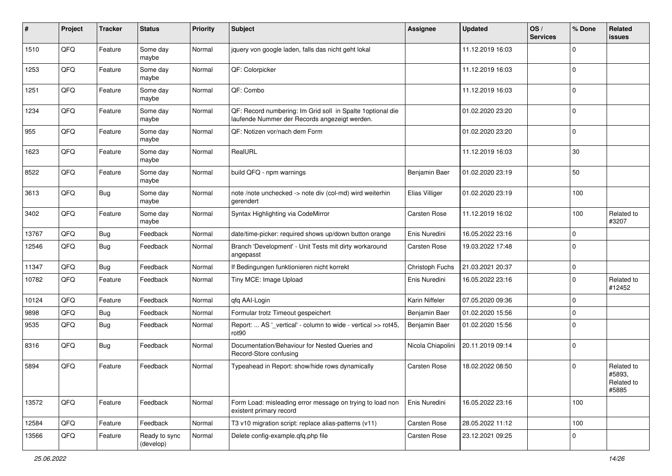| #     | Project | <b>Tracker</b> | <b>Status</b>              | Priority | Subject                                                                                                     | <b>Assignee</b>     | <b>Updated</b>   | OS/<br><b>Services</b> | % Done      | Related<br><b>issues</b>                    |
|-------|---------|----------------|----------------------------|----------|-------------------------------------------------------------------------------------------------------------|---------------------|------------------|------------------------|-------------|---------------------------------------------|
| 1510  | QFQ     | Feature        | Some day<br>maybe          | Normal   | jquery von google laden, falls das nicht geht lokal                                                         |                     | 11.12.2019 16:03 |                        | 0           |                                             |
| 1253  | QFQ     | Feature        | Some day<br>maybe          | Normal   | QF: Colorpicker                                                                                             |                     | 11.12.2019 16:03 |                        | $\mathbf 0$ |                                             |
| 1251  | QFQ     | Feature        | Some day<br>maybe          | Normal   | QF: Combo                                                                                                   |                     | 11.12.2019 16:03 |                        | 0           |                                             |
| 1234  | QFQ     | Feature        | Some day<br>maybe          | Normal   | QF: Record numbering: Im Grid soll in Spalte 1optional die<br>laufende Nummer der Records angezeigt werden. |                     | 01.02.2020 23:20 |                        | $\mathbf 0$ |                                             |
| 955   | QFQ     | Feature        | Some day<br>maybe          | Normal   | QF: Notizen vor/nach dem Form                                                                               |                     | 01.02.2020 23:20 |                        | $\mathbf 0$ |                                             |
| 1623  | QFQ     | Feature        | Some day<br>maybe          | Normal   | RealURL                                                                                                     |                     | 11.12.2019 16:03 |                        | 30          |                                             |
| 8522  | QFQ     | Feature        | Some day<br>maybe          | Normal   | build QFQ - npm warnings                                                                                    | Benjamin Baer       | 01.02.2020 23:19 |                        | 50          |                                             |
| 3613  | QFQ     | <b>Bug</b>     | Some day<br>maybe          | Normal   | note /note unchecked -> note div (col-md) wird weiterhin<br>aerendert                                       | Elias Villiger      | 01.02.2020 23:19 |                        | 100         |                                             |
| 3402  | QFQ     | Feature        | Some day<br>maybe          | Normal   | Syntax Highlighting via CodeMirror                                                                          | <b>Carsten Rose</b> | 11.12.2019 16:02 |                        | 100         | Related to<br>#3207                         |
| 13767 | QFQ     | <b>Bug</b>     | Feedback                   | Normal   | date/time-picker: required shows up/down button orange                                                      | Enis Nuredini       | 16.05.2022 23:16 |                        | 0           |                                             |
| 12546 | QFQ     | Bug            | Feedback                   | Normal   | Branch 'Development' - Unit Tests mit dirty workaround<br>angepasst                                         | Carsten Rose        | 19.03.2022 17:48 |                        | $\Omega$    |                                             |
| 11347 | QFQ     | <b>Bug</b>     | Feedback                   | Normal   | If Bedingungen funktionieren nicht korrekt                                                                  | Christoph Fuchs     | 21.03.2021 20:37 |                        | $\mathbf 0$ |                                             |
| 10782 | QFQ     | Feature        | Feedback                   | Normal   | Tiny MCE: Image Upload                                                                                      | Enis Nuredini       | 16.05.2022 23:16 |                        | $\Omega$    | Related to<br>#12452                        |
| 10124 | QFQ     | Feature        | Feedback                   | Normal   | qfq AAI-Login                                                                                               | Karin Niffeler      | 07.05.2020 09:36 |                        | $\mathbf 0$ |                                             |
| 9898  | QFQ     | Bug            | Feedback                   | Normal   | Formular trotz Timeout gespeichert                                                                          | Benjamin Baer       | 01.02.2020 15:56 |                        | $\mathbf 0$ |                                             |
| 9535  | QFQ     | <b>Bug</b>     | Feedback                   | Normal   | Report:  AS '_vertical' - column to wide - vertical >> rot45,<br>rot90                                      | Benjamin Baer       | 01.02.2020 15:56 |                        | $\Omega$    |                                             |
| 8316  | QFQ     | Bug            | Feedback                   | Normal   | Documentation/Behaviour for Nested Queries and<br>Record-Store confusing                                    | Nicola Chiapolini   | 20.11.2019 09:14 |                        | $\Omega$    |                                             |
| 5894  | QFQ     | Feature        | Feedback                   | Normal   | Typeahead in Report: show/hide rows dynamically                                                             | <b>Carsten Rose</b> | 18.02.2022 08:50 |                        | 0           | Related to<br>#5893,<br>Related to<br>#5885 |
| 13572 | QFQ     | Feature        | Feedback                   | Normal   | Form Load: misleading error message on trying to load non<br>existent primary record                        | Enis Nuredini       | 16.05.2022 23:16 |                        | 100         |                                             |
| 12584 | QFQ     | Feature        | Feedback                   | Normal   | T3 v10 migration script: replace alias-patterns (v11)                                                       | Carsten Rose        | 28.05.2022 11:12 |                        | 100         |                                             |
| 13566 | QFQ     | Feature        | Ready to sync<br>(develop) | Normal   | Delete config-example.qfq.php file                                                                          | Carsten Rose        | 23.12.2021 09:25 |                        | 0           |                                             |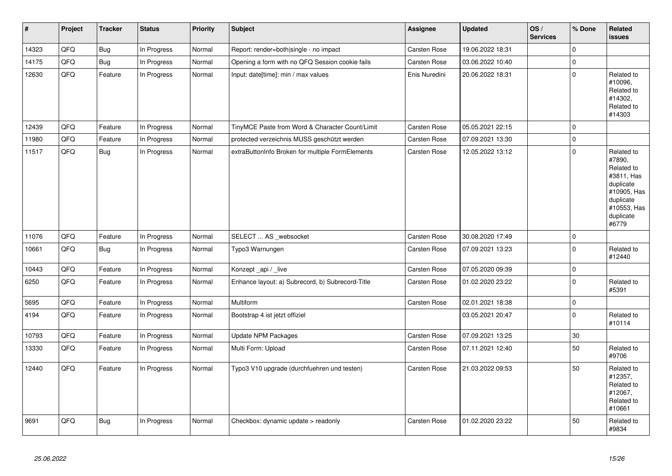| $\vert$ # | Project | <b>Tracker</b> | <b>Status</b> | Priority | <b>Subject</b>                                   | Assignee            | <b>Updated</b>   | OS/<br><b>Services</b> | % Done              | Related<br><b>issues</b>                                                                                                       |
|-----------|---------|----------------|---------------|----------|--------------------------------------------------|---------------------|------------------|------------------------|---------------------|--------------------------------------------------------------------------------------------------------------------------------|
| 14323     | QFQ     | <b>Bug</b>     | In Progress   | Normal   | Report: render=both single - no impact           | Carsten Rose        | 19.06.2022 18:31 |                        | $\mathbf 0$         |                                                                                                                                |
| 14175     | QFQ     | <b>Bug</b>     | In Progress   | Normal   | Opening a form with no QFQ Session cookie fails  | Carsten Rose        | 03.06.2022 10:40 |                        | $\mathbf 0$         |                                                                                                                                |
| 12630     | QFO     | Feature        | In Progress   | Normal   | Input: date[time]: min / max values              | Enis Nuredini       | 20.06.2022 18:31 |                        | $\pmb{0}$           | Related to<br>#10096,<br>Related to<br>#14302.<br>Related to<br>#14303                                                         |
| 12439     | QFQ     | Feature        | In Progress   | Normal   | TinyMCE Paste from Word & Character Count/Limit  | Carsten Rose        | 05.05.2021 22:15 |                        | $\mathbf 0$         |                                                                                                                                |
| 11980     | QFQ     | Feature        | In Progress   | Normal   | protected verzeichnis MUSS geschützt werden      | Carsten Rose        | 07.09.2021 13:30 |                        | $\mathsf{O}\xspace$ |                                                                                                                                |
| 11517     | QFQ     | <b>Bug</b>     | In Progress   | Normal   | extraButtonInfo Broken for multiple FormElements | Carsten Rose        | 12.05.2022 13:12 |                        | $\mathbf 0$         | Related to<br>#7890,<br>Related to<br>#3811, Has<br>duplicate<br>#10905, Has<br>duplicate<br>#10553, Has<br>duplicate<br>#6779 |
| 11076     | QFQ     | Feature        | In Progress   | Normal   | SELECT  AS _websocket                            | Carsten Rose        | 30.08.2020 17:49 |                        | $\mathsf{O}\xspace$ |                                                                                                                                |
| 10661     | QFQ     | <b>Bug</b>     | In Progress   | Normal   | Typo3 Warnungen                                  | Carsten Rose        | 07.09.2021 13:23 |                        | $\mathbf 0$         | Related to<br>#12440                                                                                                           |
| 10443     | QFQ     | Feature        | In Progress   | Normal   | Konzept_api / _live                              | Carsten Rose        | 07.05.2020 09:39 |                        | $\mathsf{O}\xspace$ |                                                                                                                                |
| 6250      | QFQ     | Feature        | In Progress   | Normal   | Enhance layout: a) Subrecord, b) Subrecord-Title | Carsten Rose        | 01.02.2020 23:22 |                        | $\mathbf 0$         | Related to<br>#5391                                                                                                            |
| 5695      | QFQ     | Feature        | In Progress   | Normal   | Multiform                                        | <b>Carsten Rose</b> | 02.01.2021 18:38 |                        | $\mathsf{O}\xspace$ |                                                                                                                                |
| 4194      | QFQ     | Feature        | In Progress   | Normal   | Bootstrap 4 ist jetzt offiziel                   |                     | 03.05.2021 20:47 |                        | $\mathbf 0$         | Related to<br>#10114                                                                                                           |
| 10793     | QFQ     | Feature        | In Progress   | Normal   | <b>Update NPM Packages</b>                       | Carsten Rose        | 07.09.2021 13:25 |                        | 30                  |                                                                                                                                |
| 13330     | QFQ     | Feature        | In Progress   | Normal   | Multi Form: Upload                               | <b>Carsten Rose</b> | 07.11.2021 12:40 |                        | 50                  | Related to<br>#9706                                                                                                            |
| 12440     | QFQ     | Feature        | In Progress   | Normal   | Typo3 V10 upgrade (durchfuehren und testen)      | Carsten Rose        | 21.03.2022 09:53 |                        | 50                  | Related to<br>#12357,<br>Related to<br>#12067,<br>Related to<br>#10661                                                         |
| 9691      | QFQ     | <b>Bug</b>     | In Progress   | Normal   | Checkbox: dynamic update > readonly              | Carsten Rose        | 01.02.2020 23:22 |                        | 50                  | Related to<br>#9834                                                                                                            |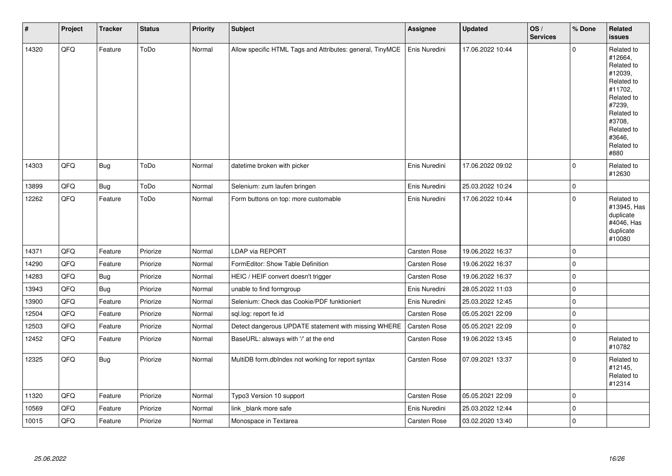| #     | Project | <b>Tracker</b> | <b>Status</b> | <b>Priority</b> | Subject                                                   | <b>Assignee</b>     | <b>Updated</b>   | OS/<br><b>Services</b> | % Done      | Related<br><b>issues</b>                                                                                                                                              |
|-------|---------|----------------|---------------|-----------------|-----------------------------------------------------------|---------------------|------------------|------------------------|-------------|-----------------------------------------------------------------------------------------------------------------------------------------------------------------------|
| 14320 | QFQ     | Feature        | ToDo          | Normal          | Allow specific HTML Tags and Attributes: general, TinyMCE | Enis Nuredini       | 17.06.2022 10:44 |                        | $\mathbf 0$ | Related to<br>#12664,<br>Related to<br>#12039,<br>Related to<br>#11702,<br>Related to<br>#7239,<br>Related to<br>#3708,<br>Related to<br>#3646,<br>Related to<br>#880 |
| 14303 | QFQ     | Bug            | ToDo          | Normal          | datetime broken with picker                               | Enis Nuredini       | 17.06.2022 09:02 |                        | $\mathbf 0$ | Related to<br>#12630                                                                                                                                                  |
| 13899 | QFQ     | <b>Bug</b>     | ToDo          | Normal          | Selenium: zum laufen bringen                              | Enis Nuredini       | 25.03.2022 10:24 |                        | $\mathbf 0$ |                                                                                                                                                                       |
| 12262 | QFQ     | Feature        | ToDo          | Normal          | Form buttons on top: more customable                      | Enis Nuredini       | 17.06.2022 10:44 |                        | $\mathbf 0$ | Related to<br>#13945, Has<br>duplicate<br>#4046, Has<br>duplicate<br>#10080                                                                                           |
| 14371 | QFQ     | Feature        | Priorize      | Normal          | <b>LDAP via REPORT</b>                                    | Carsten Rose        | 19.06.2022 16:37 |                        | $\mathbf 0$ |                                                                                                                                                                       |
| 14290 | QFQ     | Feature        | Priorize      | Normal          | FormEditor: Show Table Definition                         | Carsten Rose        | 19.06.2022 16:37 |                        | $\mathbf 0$ |                                                                                                                                                                       |
| 14283 | QFQ     | <b>Bug</b>     | Priorize      | Normal          | HEIC / HEIF convert doesn't trigger                       | Carsten Rose        | 19.06.2022 16:37 |                        | $\mathbf 0$ |                                                                                                                                                                       |
| 13943 | QFQ     | <b>Bug</b>     | Priorize      | Normal          | unable to find formgroup                                  | Enis Nuredini       | 28.05.2022 11:03 |                        | $\pmb{0}$   |                                                                                                                                                                       |
| 13900 | QFQ     | Feature        | Priorize      | Normal          | Selenium: Check das Cookie/PDF funktioniert               | Enis Nuredini       | 25.03.2022 12:45 |                        | $\mathbf 0$ |                                                                                                                                                                       |
| 12504 | QFQ     | Feature        | Priorize      | Normal          | sql.log: report fe.id                                     | <b>Carsten Rose</b> | 05.05.2021 22:09 |                        | $\mathbf 0$ |                                                                                                                                                                       |
| 12503 | QFQ     | Feature        | Priorize      | Normal          | Detect dangerous UPDATE statement with missing WHERE      | <b>Carsten Rose</b> | 05.05.2021 22:09 |                        | $\mathbf 0$ |                                                                                                                                                                       |
| 12452 | QFQ     | Feature        | Priorize      | Normal          | BaseURL: alsways with '/' at the end                      | Carsten Rose        | 19.06.2022 13:45 |                        | $\mathbf 0$ | Related to<br>#10782                                                                                                                                                  |
| 12325 | QFQ     | <b>Bug</b>     | Priorize      | Normal          | MultiDB form.dbIndex not working for report syntax        | Carsten Rose        | 07.09.2021 13:37 |                        | $\mathbf 0$ | Related to<br>#12145,<br>Related to<br>#12314                                                                                                                         |
| 11320 | QFQ     | Feature        | Priorize      | Normal          | Typo3 Version 10 support                                  | Carsten Rose        | 05.05.2021 22:09 |                        | $\mathbf 0$ |                                                                                                                                                                       |
| 10569 | QFQ     | Feature        | Priorize      | Normal          | link blank more safe                                      | Enis Nuredini       | 25.03.2022 12:44 |                        | $\mathbf 0$ |                                                                                                                                                                       |
| 10015 | QFQ     | Feature        | Priorize      | Normal          | Monospace in Textarea                                     | <b>Carsten Rose</b> | 03.02.2020 13:40 |                        | $\mathbf 0$ |                                                                                                                                                                       |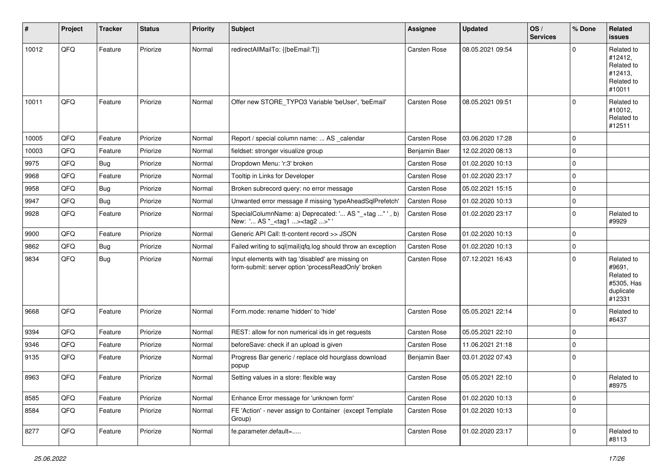| #     | Project | <b>Tracker</b> | <b>Status</b> | <b>Priority</b> | Subject                                                                                                  | Assignee            | <b>Updated</b>   | OS/<br><b>Services</b> | % Done      | Related<br>issues                                                       |
|-------|---------|----------------|---------------|-----------------|----------------------------------------------------------------------------------------------------------|---------------------|------------------|------------------------|-------------|-------------------------------------------------------------------------|
| 10012 | QFQ     | Feature        | Priorize      | Normal          | redirectAllMailTo: {{beEmail:T}}                                                                         | Carsten Rose        | 08.05.2021 09:54 |                        | $\Omega$    | Related to<br>#12412,<br>Related to<br>#12413,<br>Related to<br>#10011  |
| 10011 | QFQ     | Feature        | Priorize      | Normal          | Offer new STORE TYPO3 Variable 'beUser', 'beEmail'                                                       | <b>Carsten Rose</b> | 08.05.2021 09:51 |                        | $\mathbf 0$ | Related to<br>#10012,<br>Related to<br>#12511                           |
| 10005 | QFQ     | Feature        | Priorize      | Normal          | Report / special column name:  AS _calendar                                                              | Carsten Rose        | 03.06.2020 17:28 |                        | $\mathbf 0$ |                                                                         |
| 10003 | QFQ     | Feature        | Priorize      | Normal          | fieldset: stronger visualize group                                                                       | Benjamin Baer       | 12.02.2020 08:13 |                        | $\mathbf 0$ |                                                                         |
| 9975  | QFQ     | Bug            | Priorize      | Normal          | Dropdown Menu: 'r:3' broken                                                                              | Carsten Rose        | 01.02.2020 10:13 |                        | $\mathbf 0$ |                                                                         |
| 9968  | QFQ     | Feature        | Priorize      | Normal          | Tooltip in Links for Developer                                                                           | Carsten Rose        | 01.02.2020 23:17 |                        | $\mathbf 0$ |                                                                         |
| 9958  | QFQ     | <b>Bug</b>     | Priorize      | Normal          | Broken subrecord query: no error message                                                                 | Carsten Rose        | 05.02.2021 15:15 |                        | $\mathbf 0$ |                                                                         |
| 9947  | QFQ     | Bug            | Priorize      | Normal          | Unwanted error message if missing 'typeAheadSqlPrefetch'                                                 | Carsten Rose        | 01.02.2020 10:13 |                        | $\mathbf 0$ |                                                                         |
| 9928  | QFQ     | Feature        | Priorize      | Normal          | SpecialColumnName: a) Deprecated: ' AS "_+tag " ', b)<br>New: ' AS "_ <tag1><tag2>" '</tag2></tag1>      | Carsten Rose        | 01.02.2020 23:17 |                        | $\mathbf 0$ | Related to<br>#9929                                                     |
| 9900  | QFQ     | Feature        | Priorize      | Normal          | Generic API Call: tt-content record >> JSON                                                              | Carsten Rose        | 01.02.2020 10:13 |                        | $\mathbf 0$ |                                                                         |
| 9862  | QFQ     | Bug            | Priorize      | Normal          | Failed writing to sql mail qfq.log should throw an exception                                             | <b>Carsten Rose</b> | 01.02.2020 10:13 |                        | $\mathbf 0$ |                                                                         |
| 9834  | QFQ     | <b>Bug</b>     | Priorize      | Normal          | Input elements with tag 'disabled' are missing on<br>form-submit: server option 'processReadOnly' broken | Carsten Rose        | 07.12.2021 16:43 |                        | $\mathbf 0$ | Related to<br>#9691,<br>Related to<br>#5305, Has<br>duplicate<br>#12331 |
| 9668  | QFQ     | Feature        | Priorize      | Normal          | Form.mode: rename 'hidden' to 'hide'                                                                     | Carsten Rose        | 05.05.2021 22:14 |                        | $\mathbf 0$ | Related to<br>#6437                                                     |
| 9394  | QFQ     | Feature        | Priorize      | Normal          | REST: allow for non numerical ids in get requests                                                        | Carsten Rose        | 05.05.2021 22:10 |                        | $\mathbf 0$ |                                                                         |
| 9346  | QFQ     | Feature        | Priorize      | Normal          | beforeSave: check if an upload is given                                                                  | <b>Carsten Rose</b> | 11.06.2021 21:18 |                        | $\mathbf 0$ |                                                                         |
| 9135  | QFQ     | Feature        | Priorize      | Normal          | Progress Bar generic / replace old hourglass download<br>popup                                           | Benjamin Baer       | 03.01.2022 07:43 |                        | $\mathbf 0$ |                                                                         |
| 8963  | QFQ     | Feature        | Priorize      | Normal          | Setting values in a store: flexible way                                                                  | <b>Carsten Rose</b> | 05.05.2021 22:10 |                        | $\mathbf 0$ | Related to<br>#8975                                                     |
| 8585  | QFQ     | Feature        | Priorize      | Normal          | Enhance Error message for 'unknown form'                                                                 | Carsten Rose        | 01.02.2020 10:13 |                        | $\mathbf 0$ |                                                                         |
| 8584  | QFQ     | Feature        | Priorize      | Normal          | FE 'Action' - never assign to Container (except Template<br>Group)                                       | Carsten Rose        | 01.02.2020 10:13 |                        | $\mathbf 0$ |                                                                         |
| 8277  | QFQ     | Feature        | Priorize      | Normal          | fe.parameter.default=                                                                                    | Carsten Rose        | 01.02.2020 23:17 |                        | $\mathbf 0$ | Related to<br>#8113                                                     |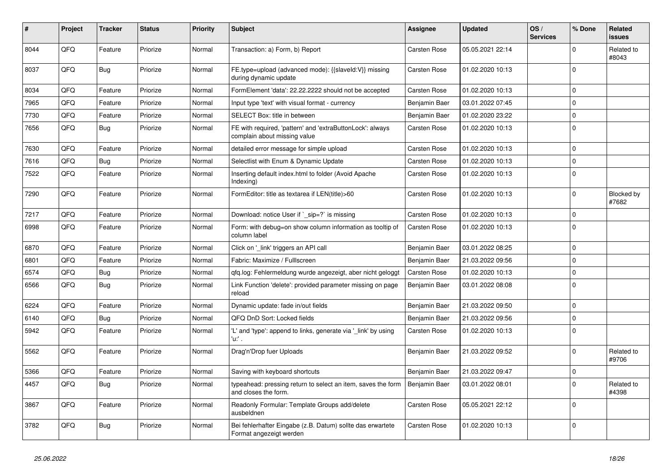| #    | Project | <b>Tracker</b> | <b>Status</b> | <b>Priority</b> | <b>Subject</b>                                                                            | Assignee            | <b>Updated</b>   | OS/<br><b>Services</b> | % Done       | Related<br><b>issues</b> |
|------|---------|----------------|---------------|-----------------|-------------------------------------------------------------------------------------------|---------------------|------------------|------------------------|--------------|--------------------------|
| 8044 | QFQ     | Feature        | Priorize      | Normal          | Transaction: a) Form, b) Report                                                           | <b>Carsten Rose</b> | 05.05.2021 22:14 |                        | $\Omega$     | Related to<br>#8043      |
| 8037 | QFQ     | Bug            | Priorize      | Normal          | FE.type=upload (advanced mode): {{slaveId:V}} missing<br>during dynamic update            | <b>Carsten Rose</b> | 01.02.2020 10:13 |                        | $\Omega$     |                          |
| 8034 | QFQ     | Feature        | Priorize      | Normal          | FormElement 'data': 22.22.2222 should not be accepted                                     | Carsten Rose        | 01.02.2020 10:13 |                        | $\mathbf 0$  |                          |
| 7965 | QFQ     | Feature        | Priorize      | Normal          | Input type 'text' with visual format - currency                                           | Benjamin Baer       | 03.01.2022 07:45 |                        | $\mathbf 0$  |                          |
| 7730 | QFQ     | Feature        | Priorize      | Normal          | SELECT Box: title in between                                                              | Benjamin Baer       | 01.02.2020 23:22 |                        | $\Omega$     |                          |
| 7656 | QFQ     | <b>Bug</b>     | Priorize      | Normal          | FE with required, 'pattern' and 'extraButtonLock': always<br>complain about missing value | Carsten Rose        | 01.02.2020 10:13 |                        | $\Omega$     |                          |
| 7630 | QFQ     | Feature        | Priorize      | Normal          | detailed error message for simple upload                                                  | Carsten Rose        | 01.02.2020 10:13 |                        | $\mathbf 0$  |                          |
| 7616 | QFQ     | <b>Bug</b>     | Priorize      | Normal          | Selectlist with Enum & Dynamic Update                                                     | Carsten Rose        | 01.02.2020 10:13 |                        | $\mathbf 0$  |                          |
| 7522 | QFQ     | Feature        | Priorize      | Normal          | Inserting default index.html to folder (Avoid Apache<br>Indexing)                         | Carsten Rose        | 01.02.2020 10:13 |                        | $\Omega$     |                          |
| 7290 | QFQ     | Feature        | Priorize      | Normal          | FormEditor: title as textarea if LEN(title)>60                                            | <b>Carsten Rose</b> | 01.02.2020 10:13 |                        | $\mathbf{0}$ | Blocked by<br>#7682      |
| 7217 | QFQ     | Feature        | Priorize      | Normal          | Download: notice User if `_sip=?` is missing                                              | <b>Carsten Rose</b> | 01.02.2020 10:13 |                        | $\mathbf 0$  |                          |
| 6998 | QFQ     | Feature        | Priorize      | Normal          | Form: with debug=on show column information as tooltip of<br>column label                 | <b>Carsten Rose</b> | 01.02.2020 10:13 |                        | $\mathbf 0$  |                          |
| 6870 | QFQ     | Feature        | Priorize      | Normal          | Click on 'link' triggers an API call                                                      | Benjamin Baer       | 03.01.2022 08:25 |                        | $\mathbf 0$  |                          |
| 6801 | QFQ     | Feature        | Priorize      | Normal          | Fabric: Maximize / FullIscreen                                                            | Benjamin Baer       | 21.03.2022 09:56 |                        | $\Omega$     |                          |
| 6574 | QFQ     | Bug            | Priorize      | Normal          | gfg.log: Fehlermeldung wurde angezeigt, aber nicht geloggt                                | Carsten Rose        | 01.02.2020 10:13 |                        | $\mathbf 0$  |                          |
| 6566 | QFQ     | <b>Bug</b>     | Priorize      | Normal          | Link Function 'delete': provided parameter missing on page<br>reload                      | Benjamin Baer       | 03.01.2022 08:08 |                        | $\Omega$     |                          |
| 6224 | QFQ     | Feature        | Priorize      | Normal          | Dynamic update: fade in/out fields                                                        | Benjamin Baer       | 21.03.2022 09:50 |                        | $\Omega$     |                          |
| 6140 | QFQ     | <b>Bug</b>     | Priorize      | Normal          | QFQ DnD Sort: Locked fields                                                               | Benjamin Baer       | 21.03.2022 09:56 |                        | $\Omega$     |                          |
| 5942 | QFQ     | Feature        | Priorize      | Normal          | 'L' and 'type': append to links, generate via 'link' by using<br>'u:' .                   | Carsten Rose        | 01.02.2020 10:13 |                        | $\Omega$     |                          |
| 5562 | QFQ     | Feature        | Priorize      | Normal          | Drag'n'Drop fuer Uploads                                                                  | Benjamin Baer       | 21.03.2022 09:52 |                        | $\Omega$     | Related to<br>#9706      |
| 5366 | QFQ     | Feature        | Priorize      | Normal          | Saving with keyboard shortcuts                                                            | Benjamin Baer       | 21.03.2022 09:47 |                        | $\mathbf 0$  |                          |
| 4457 | QFQ     | <b>Bug</b>     | Priorize      | Normal          | typeahead: pressing return to select an item, saves the form<br>and closes the form.      | Benjamin Baer       | 03.01.2022 08:01 |                        | $\Omega$     | Related to<br>#4398      |
| 3867 | QFQ     | Feature        | Priorize      | Normal          | Readonly Formular: Template Groups add/delete<br>ausbeldnen                               | Carsten Rose        | 05.05.2021 22:12 |                        | $\Omega$     |                          |
| 3782 | QFQ     | <b>Bug</b>     | Priorize      | Normal          | Bei fehlerhafter Eingabe (z.B. Datum) sollte das erwartete<br>Format angezeigt werden     | <b>Carsten Rose</b> | 01.02.2020 10:13 |                        | l 0          |                          |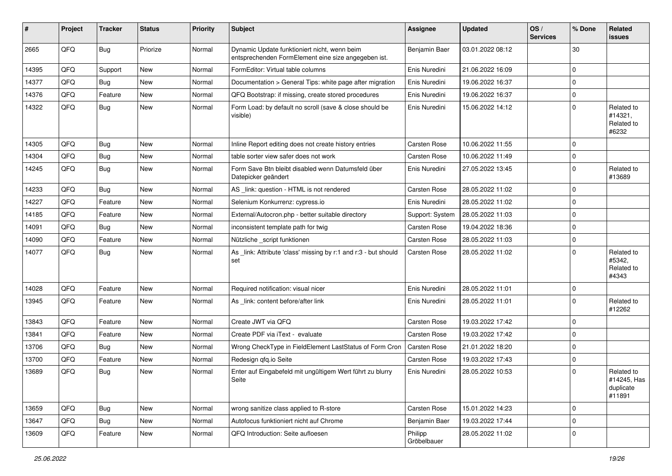| #     | Project | <b>Tracker</b> | <b>Status</b> | <b>Priority</b> | Subject                                                                                             | <b>Assignee</b>        | <b>Updated</b>   | OS/<br><b>Services</b> | % Done       | Related<br>issues                                |
|-------|---------|----------------|---------------|-----------------|-----------------------------------------------------------------------------------------------------|------------------------|------------------|------------------------|--------------|--------------------------------------------------|
| 2665  | QFQ     | Bug            | Priorize      | Normal          | Dynamic Update funktioniert nicht, wenn beim<br>entsprechenden FormElement eine size angegeben ist. | Benjamin Baer          | 03.01.2022 08:12 |                        | 30           |                                                  |
| 14395 | QFQ     | Support        | <b>New</b>    | Normal          | FormEditor: Virtual table columns                                                                   | Enis Nuredini          | 21.06.2022 16:09 |                        | $\mathbf 0$  |                                                  |
| 14377 | QFQ     | Bug            | <b>New</b>    | Normal          | Documentation > General Tips: white page after migration                                            | Enis Nuredini          | 19.06.2022 16:37 |                        | $\mathbf 0$  |                                                  |
| 14376 | QFQ     | Feature        | New           | Normal          | QFQ Bootstrap: if missing, create stored procedures                                                 | Enis Nuredini          | 19.06.2022 16:37 |                        | $\mathbf 0$  |                                                  |
| 14322 | QFQ     | Bug            | New           | Normal          | Form Load: by default no scroll (save & close should be<br>visible)                                 | Enis Nuredini          | 15.06.2022 14:12 |                        | $\mathbf 0$  | Related to<br>#14321,<br>Related to<br>#6232     |
| 14305 | QFQ     | <b>Bug</b>     | New           | Normal          | Inline Report editing does not create history entries                                               | <b>Carsten Rose</b>    | 10.06.2022 11:55 |                        | $\mathbf 0$  |                                                  |
| 14304 | QFQ     | <b>Bug</b>     | <b>New</b>    | Normal          | table sorter view safer does not work                                                               | <b>Carsten Rose</b>    | 10.06.2022 11:49 |                        | $\mathbf 0$  |                                                  |
| 14245 | QFQ     | Bug            | New           | Normal          | Form Save Btn bleibt disabled wenn Datumsfeld über<br>Datepicker geändert                           | Enis Nuredini          | 27.05.2022 13:45 |                        | $\mathbf 0$  | Related to<br>#13689                             |
| 14233 | QFQ     | <b>Bug</b>     | <b>New</b>    | Normal          | AS _link: question - HTML is not rendered                                                           | <b>Carsten Rose</b>    | 28.05.2022 11:02 |                        | $\mathbf 0$  |                                                  |
| 14227 | QFQ     | Feature        | <b>New</b>    | Normal          | Selenium Konkurrenz: cypress.io                                                                     | Enis Nuredini          | 28.05.2022 11:02 |                        | $\mathbf 0$  |                                                  |
| 14185 | QFQ     | Feature        | New           | Normal          | External/Autocron.php - better suitable directory                                                   | Support: System        | 28.05.2022 11:03 |                        | $\mathbf 0$  |                                                  |
| 14091 | QFQ     | <b>Bug</b>     | <b>New</b>    | Normal          | inconsistent template path for twig                                                                 | <b>Carsten Rose</b>    | 19.04.2022 18:36 |                        | $\mathbf 0$  |                                                  |
| 14090 | QFQ     | Feature        | New           | Normal          | Nützliche _script funktionen                                                                        | <b>Carsten Rose</b>    | 28.05.2022 11:03 |                        | $\mathbf 0$  |                                                  |
| 14077 | QFQ     | <b>Bug</b>     | New           | Normal          | As _link: Attribute 'class' missing by r:1 and r:3 - but should<br>set                              | <b>Carsten Rose</b>    | 28.05.2022 11:02 |                        | $\mathbf 0$  | Related to<br>#5342,<br>Related to<br>#4343      |
| 14028 | QFQ     | Feature        | <b>New</b>    | Normal          | Required notification: visual nicer                                                                 | Enis Nuredini          | 28.05.2022 11:01 |                        | $\mathbf 0$  |                                                  |
| 13945 | QFQ     | Feature        | New           | Normal          | As link: content before/after link                                                                  | Enis Nuredini          | 28.05.2022 11:01 |                        | $\mathbf 0$  | Related to<br>#12262                             |
| 13843 | QFQ     | Feature        | <b>New</b>    | Normal          | Create JWT via QFQ                                                                                  | <b>Carsten Rose</b>    | 19.03.2022 17:42 |                        | $\mathbf 0$  |                                                  |
| 13841 | QFQ     | Feature        | New           | Normal          | Create PDF via iText - evaluate                                                                     | <b>Carsten Rose</b>    | 19.03.2022 17:42 |                        | $\mathbf 0$  |                                                  |
| 13706 | QFQ     | Bug            | <b>New</b>    | Normal          | Wrong CheckType in FieldElement LastStatus of Form Cron                                             | Carsten Rose           | 21.01.2022 18:20 |                        | $\mathbf 0$  |                                                  |
| 13700 | QFQ     | Feature        | New           | Normal          | Redesign qfq.io Seite                                                                               | <b>Carsten Rose</b>    | 19.03.2022 17:43 |                        | $\mathbf 0$  |                                                  |
| 13689 | QFQ     | <b>Bug</b>     | New           | Normal          | Enter auf Eingabefeld mit ungültigem Wert führt zu blurry<br>Seite                                  | Enis Nuredini          | 28.05.2022 10:53 |                        | $\mathbf 0$  | Related to<br>#14245, Has<br>duplicate<br>#11891 |
| 13659 | QFQ     | <b>Bug</b>     | <b>New</b>    | Normal          | wrong sanitize class applied to R-store                                                             | Carsten Rose           | 15.01.2022 14:23 |                        | $\mathbf{0}$ |                                                  |
| 13647 | QFQ     | <b>Bug</b>     | New           | Normal          | Autofocus funktioniert nicht auf Chrome                                                             | Benjamin Baer          | 19.03.2022 17:44 |                        | $\mathbf 0$  |                                                  |
| 13609 | QFQ     | Feature        | New           | Normal          | QFQ Introduction: Seite aufloesen                                                                   | Philipp<br>Gröbelbauer | 28.05.2022 11:02 |                        | $\pmb{0}$    |                                                  |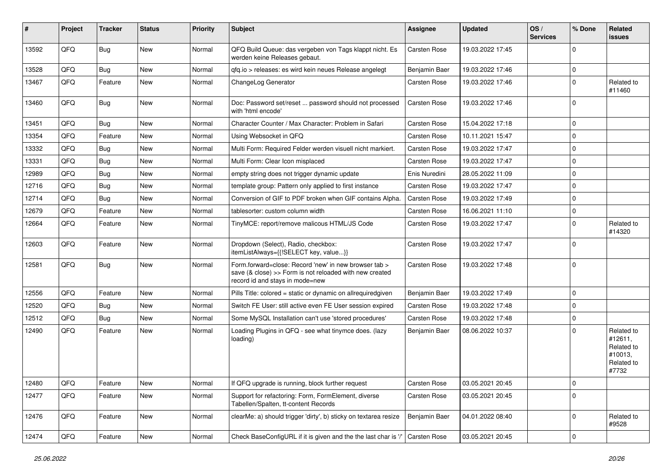| $\sharp$ | Project | <b>Tracker</b> | <b>Status</b> | <b>Priority</b> | Subject                                                                                                                                             | <b>Assignee</b>     | <b>Updated</b>   | OS/<br><b>Services</b> | % Done      | Related<br><b>issues</b>                                              |
|----------|---------|----------------|---------------|-----------------|-----------------------------------------------------------------------------------------------------------------------------------------------------|---------------------|------------------|------------------------|-------------|-----------------------------------------------------------------------|
| 13592    | QFQ     | Bug            | New           | Normal          | QFQ Build Queue: das vergeben von Tags klappt nicht. Es<br>werden keine Releases gebaut.                                                            | <b>Carsten Rose</b> | 19.03.2022 17:45 |                        | $\Omega$    |                                                                       |
| 13528    | QFQ     | <b>Bug</b>     | <b>New</b>    | Normal          | qfq.io > releases: es wird kein neues Release angelegt                                                                                              | Benjamin Baer       | 19.03.2022 17:46 |                        | $\mathbf 0$ |                                                                       |
| 13467    | QFQ     | Feature        | <b>New</b>    | Normal          | ChangeLog Generator                                                                                                                                 | Carsten Rose        | 19.03.2022 17:46 |                        | $\Omega$    | Related to<br>#11460                                                  |
| 13460    | QFQ     | <b>Bug</b>     | <b>New</b>    | Normal          | Doc: Password set/reset  password should not processed<br>with 'html encode'                                                                        | Carsten Rose        | 19.03.2022 17:46 |                        | $\Omega$    |                                                                       |
| 13451    | QFQ     | Bug            | <b>New</b>    | Normal          | Character Counter / Max Character: Problem in Safari                                                                                                | <b>Carsten Rose</b> | 15.04.2022 17:18 |                        | $\Omega$    |                                                                       |
| 13354    | QFQ     | Feature        | <b>New</b>    | Normal          | Using Websocket in QFQ                                                                                                                              | <b>Carsten Rose</b> | 10.11.2021 15:47 |                        | $\mathbf 0$ |                                                                       |
| 13332    | QFQ     | Bug            | New           | Normal          | Multi Form: Required Felder werden visuell nicht markiert.                                                                                          | Carsten Rose        | 19.03.2022 17:47 |                        | $\mathbf 0$ |                                                                       |
| 13331    | QFQ     | <b>Bug</b>     | <b>New</b>    | Normal          | Multi Form: Clear Icon misplaced                                                                                                                    | Carsten Rose        | 19.03.2022 17:47 |                        | $\mathbf 0$ |                                                                       |
| 12989    | QFQ     | Bug            | <b>New</b>    | Normal          | empty string does not trigger dynamic update                                                                                                        | Enis Nuredini       | 28.05.2022 11:09 |                        | $\mathbf 0$ |                                                                       |
| 12716    | QFQ     | Bug            | <b>New</b>    | Normal          | template group: Pattern only applied to first instance                                                                                              | <b>Carsten Rose</b> | 19.03.2022 17:47 |                        | $\mathbf 0$ |                                                                       |
| 12714    | QFQ     | Bug            | <b>New</b>    | Normal          | Conversion of GIF to PDF broken when GIF contains Alpha.                                                                                            | <b>Carsten Rose</b> | 19.03.2022 17:49 |                        | $\Omega$    |                                                                       |
| 12679    | QFQ     | Feature        | New           | Normal          | tablesorter: custom column width                                                                                                                    | Carsten Rose        | 16.06.2021 11:10 |                        | $\mathbf 0$ |                                                                       |
| 12664    | QFQ     | Feature        | New           | Normal          | TinyMCE: report/remove malicous HTML/JS Code                                                                                                        | <b>Carsten Rose</b> | 19.03.2022 17:47 |                        | $\mathbf 0$ | Related to<br>#14320                                                  |
| 12603    | QFQ     | Feature        | <b>New</b>    | Normal          | Dropdown (Select), Radio, checkbox:<br>itemListAlways={{!SELECT key, value}}                                                                        | <b>Carsten Rose</b> | 19.03.2022 17:47 |                        | $\Omega$    |                                                                       |
| 12581    | QFQ     | <b>Bug</b>     | New           | Normal          | Form.forward=close: Record 'new' in new browser tab ><br>save (& close) >> Form is not reloaded with new created<br>record id and stays in mode=new | <b>Carsten Rose</b> | 19.03.2022 17:48 |                        | $\Omega$    |                                                                       |
| 12556    | QFQ     | Feature        | <b>New</b>    | Normal          | Pills Title: colored = static or dynamic on allrequiredgiven                                                                                        | Benjamin Baer       | 19.03.2022 17:49 |                        | $\mathbf 0$ |                                                                       |
| 12520    | QFQ     | Bug            | <b>New</b>    | Normal          | Switch FE User: still active even FE User session expired                                                                                           | <b>Carsten Rose</b> | 19.03.2022 17:48 |                        | $\Omega$    |                                                                       |
| 12512    | QFQ     | Bug            | New           | Normal          | Some MySQL Installation can't use 'stored procedures'                                                                                               | <b>Carsten Rose</b> | 19.03.2022 17:48 |                        | $\mathbf 0$ |                                                                       |
| 12490    | QFQ     | Feature        | <b>New</b>    | Normal          | Loading Plugins in QFQ - see what tinymce does. (lazy<br>loading)                                                                                   | Benjamin Baer       | 08.06.2022 10:37 |                        | $\Omega$    | Related to<br>#12611,<br>Related to<br>#10013,<br>Related to<br>#7732 |
| 12480    | QFQ     | Feature        | <b>New</b>    | Normal          | If QFQ upgrade is running, block further request                                                                                                    | Carsten Rose        | 03.05.2021 20:45 |                        | 0           |                                                                       |
| 12477    | QFQ     | Feature        | New           | Normal          | Support for refactoring: Form, FormElement, diverse<br>Tabellen/Spalten, tt-content Records                                                         | Carsten Rose        | 03.05.2021 20:45 |                        | $\mathbf 0$ |                                                                       |
| 12476    | QFQ     | Feature        | New           | Normal          | clearMe: a) should trigger 'dirty', b) sticky on textarea resize                                                                                    | Benjamin Baer       | 04.01.2022 08:40 |                        | $\mathbf 0$ | Related to<br>#9528                                                   |
| 12474    | QFQ     | Feature        | New           | Normal          | Check BaseConfigURL if it is given and the the last char is '/'                                                                                     | Carsten Rose        | 03.05.2021 20:45 |                        | $\mathbf 0$ |                                                                       |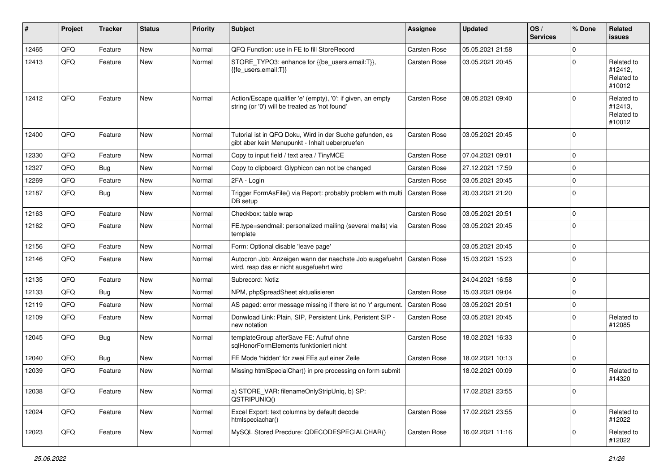| #     | Project | <b>Tracker</b> | <b>Status</b> | <b>Priority</b> | <b>Subject</b>                                                                                                 | <b>Assignee</b>     | <b>Updated</b>   | OS/<br><b>Services</b> | % Done      | <b>Related</b><br><b>issues</b>               |
|-------|---------|----------------|---------------|-----------------|----------------------------------------------------------------------------------------------------------------|---------------------|------------------|------------------------|-------------|-----------------------------------------------|
| 12465 | QFQ     | Feature        | <b>New</b>    | Normal          | QFQ Function: use in FE to fill StoreRecord                                                                    | <b>Carsten Rose</b> | 05.05.2021 21:58 |                        | $\mathbf 0$ |                                               |
| 12413 | QFQ     | Feature        | New           | Normal          | STORE_TYPO3: enhance for {{be_users.email:T}},<br>{{fe users.email:T}}                                         | <b>Carsten Rose</b> | 03.05.2021 20:45 |                        | $\mathbf 0$ | Related to<br>#12412,<br>Related to<br>#10012 |
| 12412 | QFQ     | Feature        | <b>New</b>    | Normal          | Action/Escape qualifier 'e' (empty), '0': if given, an empty<br>string (or '0') will be treated as 'not found' | <b>Carsten Rose</b> | 08.05.2021 09:40 |                        | $\mathbf 0$ | Related to<br>#12413,<br>Related to<br>#10012 |
| 12400 | QFQ     | Feature        | New           | Normal          | Tutorial ist in QFQ Doku, Wird in der Suche gefunden, es<br>gibt aber kein Menupunkt - Inhalt ueberpruefen     | <b>Carsten Rose</b> | 03.05.2021 20:45 |                        | $\mathbf 0$ |                                               |
| 12330 | QFQ     | Feature        | <b>New</b>    | Normal          | Copy to input field / text area / TinyMCE                                                                      | <b>Carsten Rose</b> | 07.04.2021 09:01 |                        | $\mathbf 0$ |                                               |
| 12327 | QFQ     | Bug            | <b>New</b>    | Normal          | Copy to clipboard: Glyphicon can not be changed                                                                | <b>Carsten Rose</b> | 27.12.2021 17:59 |                        | $\mathbf 0$ |                                               |
| 12269 | QFQ     | Feature        | <b>New</b>    | Normal          | 2FA - Login                                                                                                    | <b>Carsten Rose</b> | 03.05.2021 20:45 |                        | $\mathbf 0$ |                                               |
| 12187 | QFQ     | Bug            | New           | Normal          | Trigger FormAsFile() via Report: probably problem with mult<br>DB setup                                        | <b>Carsten Rose</b> | 20.03.2021 21:20 |                        | $\mathbf 0$ |                                               |
| 12163 | QFQ     | Feature        | <b>New</b>    | Normal          | Checkbox: table wrap                                                                                           | <b>Carsten Rose</b> | 03.05.2021 20:51 |                        | $\mathbf 0$ |                                               |
| 12162 | QFQ     | Feature        | New           | Normal          | FE.type=sendmail: personalized mailing (several mails) via<br>template                                         | <b>Carsten Rose</b> | 03.05.2021 20:45 |                        | $\mathbf 0$ |                                               |
| 12156 | QFQ     | Feature        | New           | Normal          | Form: Optional disable 'leave page'                                                                            |                     | 03.05.2021 20:45 |                        | $\mathbf 0$ |                                               |
| 12146 | QFQ     | Feature        | New           | Normal          | Autocron Job: Anzeigen wann der naechste Job ausgefuehrt<br>wird, resp das er nicht ausgefuehrt wird           | <b>Carsten Rose</b> | 15.03.2021 15:23 |                        | $\mathbf 0$ |                                               |
| 12135 | QFQ     | Feature        | <b>New</b>    | Normal          | Subrecord: Notiz                                                                                               |                     | 24.04.2021 16:58 |                        | $\mathbf 0$ |                                               |
| 12133 | QFQ     | Bug            | New           | Normal          | NPM, phpSpreadSheet aktualisieren                                                                              | <b>Carsten Rose</b> | 15.03.2021 09:04 |                        | $\mathbf 0$ |                                               |
| 12119 | QFQ     | Feature        | <b>New</b>    | Normal          | AS paged: error message missing if there ist no 'r' argument                                                   | <b>Carsten Rose</b> | 03.05.2021 20:51 |                        | $\mathbf 0$ |                                               |
| 12109 | QFQ     | Feature        | New           | Normal          | Donwload Link: Plain, SIP, Persistent Link, Peristent SIP -<br>new notation                                    | <b>Carsten Rose</b> | 03.05.2021 20:45 |                        | $\mathbf 0$ | Related to<br>#12085                          |
| 12045 | QFQ     | Bug            | New           | Normal          | templateGroup afterSave FE: Aufruf ohne<br>sqlHonorFormElements funktioniert nicht                             | <b>Carsten Rose</b> | 18.02.2021 16:33 |                        | $\mathbf 0$ |                                               |
| 12040 | QFQ     | <b>Bug</b>     | New           | Normal          | FE Mode 'hidden' für zwei FEs auf einer Zeile                                                                  | <b>Carsten Rose</b> | 18.02.2021 10:13 |                        | $\mathbf 0$ |                                               |
| 12039 | QFQ     | Feature        | <b>New</b>    | Normal          | Missing htmlSpecialChar() in pre processing on form submit                                                     |                     | 18.02.2021 00:09 |                        | $\mathbf 0$ | Related to<br>#14320                          |
| 12038 | QFQ     | Feature        | <b>New</b>    | Normal          | a) STORE_VAR: filenameOnlyStripUniq, b) SP:<br>QSTRIPUNIQ()                                                    |                     | 17.02.2021 23:55 |                        | $\pmb{0}$   |                                               |
| 12024 | QFQ     | Feature        | New           | Normal          | Excel Export: text columns by default decode<br>htmlspeciachar()                                               | Carsten Rose        | 17.02.2021 23:55 |                        | 0           | Related to<br>#12022                          |
| 12023 | QFQ     | Feature        | New           | Normal          | MySQL Stored Precdure: QDECODESPECIALCHAR()                                                                    | <b>Carsten Rose</b> | 16.02.2021 11:16 |                        | 0           | Related to<br>#12022                          |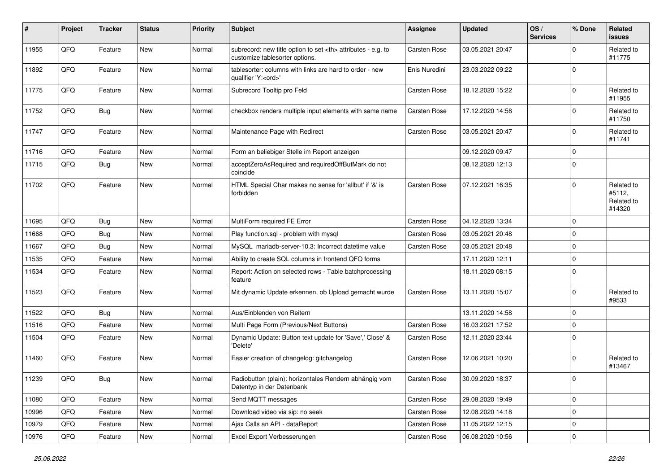| ∦     | Project | <b>Tracker</b> | <b>Status</b> | <b>Priority</b> | <b>Subject</b>                                                                                       | Assignee                                               | <b>Updated</b>   | OS/<br><b>Services</b> | % Done              | Related<br><b>issues</b>                     |                      |
|-------|---------|----------------|---------------|-----------------|------------------------------------------------------------------------------------------------------|--------------------------------------------------------|------------------|------------------------|---------------------|----------------------------------------------|----------------------|
| 11955 | QFQ     | Feature        | <b>New</b>    | Normal          | subrecord: new title option to set <th> attributes - e.g. to<br/>customize tablesorter options.</th> | attributes - e.g. to<br>customize tablesorter options. | Carsten Rose     | 03.05.2021 20:47       |                     | $\Omega$                                     | Related to<br>#11775 |
| 11892 | QFQ     | Feature        | New           | Normal          | tablesorter: columns with links are hard to order - new<br>qualifier 'Y: <ord>'</ord>                | Enis Nuredini                                          | 23.03.2022 09:22 |                        | $\mathbf 0$         |                                              |                      |
| 11775 | QFQ     | Feature        | <b>New</b>    | Normal          | Subrecord Tooltip pro Feld                                                                           | Carsten Rose                                           | 18.12.2020 15:22 |                        | $\Omega$            | Related to<br>#11955                         |                      |
| 11752 | QFQ     | <b>Bug</b>     | <b>New</b>    | Normal          | checkbox renders multiple input elements with same name                                              | <b>Carsten Rose</b>                                    | 17.12.2020 14:58 |                        | $\mathbf 0$         | Related to<br>#11750                         |                      |
| 11747 | QFQ     | Feature        | New           | Normal          | Maintenance Page with Redirect                                                                       | Carsten Rose                                           | 03.05.2021 20:47 |                        | $\mathbf 0$         | Related to<br>#11741                         |                      |
| 11716 | QFQ     | Feature        | <b>New</b>    | Normal          | Form an beliebiger Stelle im Report anzeigen                                                         |                                                        | 09.12.2020 09:47 |                        | $\mathbf 0$         |                                              |                      |
| 11715 | QFQ     | <b>Bug</b>     | New           | Normal          | acceptZeroAsRequired and requiredOffButMark do not<br>coincide                                       |                                                        | 08.12.2020 12:13 |                        | $\mathbf 0$         |                                              |                      |
| 11702 | QFQ     | Feature        | New           | Normal          | HTML Special Char makes no sense for 'allbut' if '&' is<br>forbidden                                 | Carsten Rose                                           | 07.12.2021 16:35 |                        | $\mathbf 0$         | Related to<br>#5112,<br>Related to<br>#14320 |                      |
| 11695 | QFQ     | Bug            | <b>New</b>    | Normal          | MultiForm required FE Error                                                                          | Carsten Rose                                           | 04.12.2020 13:34 |                        | $\mathbf 0$         |                                              |                      |
| 11668 | QFQ     | <b>Bug</b>     | New           | Normal          | Play function.sql - problem with mysql                                                               | Carsten Rose                                           | 03.05.2021 20:48 |                        | $\mathbf 0$         |                                              |                      |
| 11667 | QFQ     | Bug            | <b>New</b>    | Normal          | MySQL mariadb-server-10.3: Incorrect datetime value                                                  | <b>Carsten Rose</b>                                    | 03.05.2021 20:48 |                        | $\mathbf 0$         |                                              |                      |
| 11535 | QFQ     | Feature        | <b>New</b>    | Normal          | Ability to create SQL columns in frontend QFQ forms                                                  |                                                        | 17.11.2020 12:11 |                        | $\mathbf 0$         |                                              |                      |
| 11534 | QFQ     | Feature        | New           | Normal          | Report: Action on selected rows - Table batchprocessing<br>feature                                   |                                                        | 18.11.2020 08:15 |                        | $\mathbf 0$         |                                              |                      |
| 11523 | QFQ     | Feature        | <b>New</b>    | Normal          | Mit dynamic Update erkennen, ob Upload gemacht wurde                                                 | <b>Carsten Rose</b>                                    | 13.11.2020 15:07 |                        | $\mathbf 0$         | Related to<br>#9533                          |                      |
| 11522 | QFQ     | <b>Bug</b>     | New           | Normal          | Aus/Einblenden von Reitern                                                                           |                                                        | 13.11.2020 14:58 |                        | $\mathbf 0$         |                                              |                      |
| 11516 | QFQ     | Feature        | <b>New</b>    | Normal          | Multi Page Form (Previous/Next Buttons)                                                              | Carsten Rose                                           | 16.03.2021 17:52 |                        | $\mathbf 0$         |                                              |                      |
| 11504 | QFQ     | Feature        | <b>New</b>    | Normal          | Dynamic Update: Button text update for 'Save',' Close' &<br>'Delete'                                 | <b>Carsten Rose</b>                                    | 12.11.2020 23:44 |                        | $\mathbf 0$         |                                              |                      |
| 11460 | QFQ     | Feature        | New           | Normal          | Easier creation of changelog: gitchangelog                                                           | Carsten Rose                                           | 12.06.2021 10:20 |                        | $\mathbf 0$         | Related to<br>#13467                         |                      |
| 11239 | QFQ     | Bug            | New           | Normal          | Radiobutton (plain): horizontales Rendern abhängig vom<br>Datentyp in der Datenbank                  | Carsten Rose                                           | 30.09.2020 18:37 |                        | $\Omega$            |                                              |                      |
| 11080 | QFO     | Feature        | New           | Normal          | Send MQTT messages                                                                                   | Carsten Rose                                           | 29.08.2020 19:49 |                        | $\mathsf{O}\xspace$ |                                              |                      |
| 10996 | QFQ     | Feature        | New           | Normal          | Download video via sip: no seek                                                                      | Carsten Rose                                           | 12.08.2020 14:18 |                        | $\mathbf 0$         |                                              |                      |
| 10979 | QFO     | Feature        | <b>New</b>    | Normal          | Ajax Calls an API - dataReport                                                                       | Carsten Rose                                           | 11.05.2022 12:15 |                        | $\mathbf 0$         |                                              |                      |
| 10976 | QFQ     | Feature        | New           | Normal          | Excel Export Verbesserungen                                                                          | Carsten Rose                                           | 06.08.2020 10:56 |                        | $\mathbf 0$         |                                              |                      |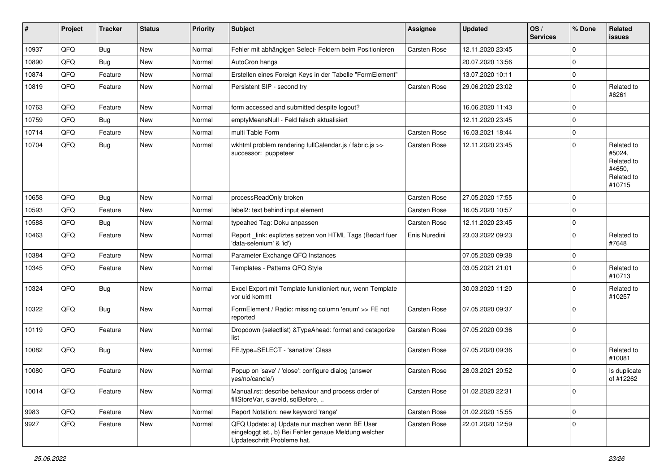| #     | Project | <b>Tracker</b> | <b>Status</b> | <b>Priority</b> | <b>Subject</b>                                                                                                                        | <b>Assignee</b>     | <b>Updated</b>   | OS/<br><b>Services</b> | % Done      | Related<br>issues                                                    |
|-------|---------|----------------|---------------|-----------------|---------------------------------------------------------------------------------------------------------------------------------------|---------------------|------------------|------------------------|-------------|----------------------------------------------------------------------|
| 10937 | QFQ     | <b>Bug</b>     | <b>New</b>    | Normal          | Fehler mit abhängigen Select- Feldern beim Positionieren                                                                              | Carsten Rose        | 12.11.2020 23:45 |                        | $\mathbf 0$ |                                                                      |
| 10890 | QFQ     | Bug            | <b>New</b>    | Normal          | AutoCron hangs                                                                                                                        |                     | 20.07.2020 13:56 |                        | $\mathbf 0$ |                                                                      |
| 10874 | QFQ     | Feature        | <b>New</b>    | Normal          | Erstellen eines Foreign Keys in der Tabelle "FormElement"                                                                             |                     | 13.07.2020 10:11 |                        | $\mathbf 0$ |                                                                      |
| 10819 | QFQ     | Feature        | New           | Normal          | Persistent SIP - second try                                                                                                           | <b>Carsten Rose</b> | 29.06.2020 23:02 |                        | $\mathbf 0$ | Related to<br>#6261                                                  |
| 10763 | QFQ     | Feature        | <b>New</b>    | Normal          | form accessed and submitted despite logout?                                                                                           |                     | 16.06.2020 11:43 |                        | $\mathbf 0$ |                                                                      |
| 10759 | QFQ     | <b>Bug</b>     | <b>New</b>    | Normal          | emptyMeansNull - Feld falsch aktualisiert                                                                                             |                     | 12.11.2020 23:45 |                        | $\mathbf 0$ |                                                                      |
| 10714 | QFQ     | Feature        | New           | Normal          | multi Table Form                                                                                                                      | <b>Carsten Rose</b> | 16.03.2021 18:44 |                        | $\mathbf 0$ |                                                                      |
| 10704 | QFQ     | Bug            | <b>New</b>    | Normal          | wkhtml problem rendering fullCalendar.js / fabric.js >><br>successor: puppeteer                                                       | <b>Carsten Rose</b> | 12.11.2020 23:45 |                        | $\mathbf 0$ | Related to<br>#5024,<br>Related to<br>#4650,<br>Related to<br>#10715 |
| 10658 | QFQ     | Bug            | <b>New</b>    | Normal          | processReadOnly broken                                                                                                                | <b>Carsten Rose</b> | 27.05.2020 17:55 |                        | $\mathbf 0$ |                                                                      |
| 10593 | QFQ     | Feature        | <b>New</b>    | Normal          | label2: text behind input element                                                                                                     | <b>Carsten Rose</b> | 16.05.2020 10:57 |                        | $\mathbf 0$ |                                                                      |
| 10588 | QFQ     | Bug            | <b>New</b>    | Normal          | typeahed Tag: Doku anpassen                                                                                                           | <b>Carsten Rose</b> | 12.11.2020 23:45 |                        | $\mathbf 0$ |                                                                      |
| 10463 | QFQ     | Feature        | <b>New</b>    | Normal          | Report_link: expliztes setzen von HTML Tags (Bedarf fuer<br>'data-selenium' & 'id')                                                   | Enis Nuredini       | 23.03.2022 09:23 |                        | $\mathbf 0$ | Related to<br>#7648                                                  |
| 10384 | QFQ     | Feature        | <b>New</b>    | Normal          | Parameter Exchange QFQ Instances                                                                                                      |                     | 07.05.2020 09:38 |                        | $\mathbf 0$ |                                                                      |
| 10345 | QFQ     | Feature        | New           | Normal          | Templates - Patterns QFQ Style                                                                                                        |                     | 03.05.2021 21:01 |                        | $\mathbf 0$ | Related to<br>#10713                                                 |
| 10324 | QFQ     | Bug            | New           | Normal          | Excel Export mit Template funktioniert nur, wenn Template<br>vor uid kommt                                                            |                     | 30.03.2020 11:20 |                        | $\mathbf 0$ | Related to<br>#10257                                                 |
| 10322 | QFQ     | <b>Bug</b>     | New           | Normal          | FormElement / Radio: missing column 'enum' >> FE not<br>reported                                                                      | <b>Carsten Rose</b> | 07.05.2020 09:37 |                        | $\mathbf 0$ |                                                                      |
| 10119 | QFQ     | Feature        | New           | Normal          | Dropdown (selectlist) & TypeAhead: format and catagorize<br>list                                                                      | <b>Carsten Rose</b> | 07.05.2020 09:36 |                        | $\mathbf 0$ |                                                                      |
| 10082 | QFQ     | Bug            | New           | Normal          | FE.type=SELECT - 'sanatize' Class                                                                                                     | <b>Carsten Rose</b> | 07.05.2020 09:36 |                        | $\mathbf 0$ | Related to<br>#10081                                                 |
| 10080 | QFQ     | Feature        | New           | Normal          | Popup on 'save' / 'close': configure dialog (answer<br>yes/no/cancle/)                                                                | <b>Carsten Rose</b> | 28.03.2021 20:52 |                        | $\mathbf 0$ | Is duplicate<br>of #12262                                            |
| 10014 | QFQ     | Feature        | New           | Normal          | Manual.rst: describe behaviour and process order of<br>fillStoreVar, slaveId, sqlBefore,                                              | Carsten Rose        | 01.02.2020 22:31 |                        | $\mathbf 0$ |                                                                      |
| 9983  | QFQ     | Feature        | New           | Normal          | Report Notation: new keyword 'range'                                                                                                  | <b>Carsten Rose</b> | 01.02.2020 15:55 |                        | $\mathbf 0$ |                                                                      |
| 9927  | QFQ     | Feature        | New           | Normal          | QFQ Update: a) Update nur machen wenn BE User<br>eingeloggt ist., b) Bei Fehler genaue Meldung welcher<br>Updateschritt Probleme hat. | Carsten Rose        | 22.01.2020 12:59 |                        | $\pmb{0}$   |                                                                      |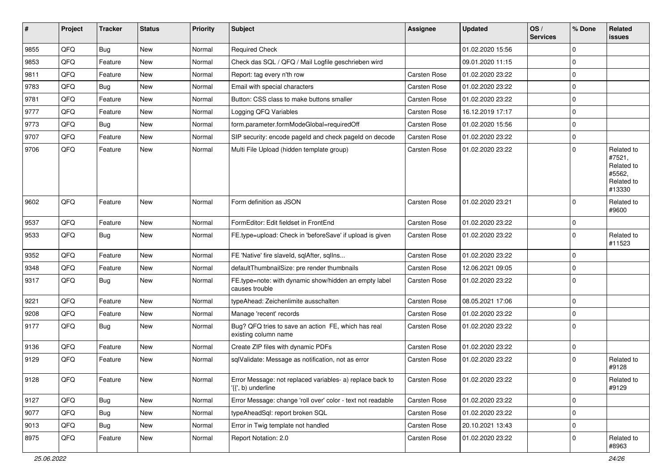| #    | Project | <b>Tracker</b> | <b>Status</b> | Priority | Subject                                                                         | Assignee            | <b>Updated</b>   | OS/<br><b>Services</b> | % Done              | Related<br><b>issues</b>                                             |
|------|---------|----------------|---------------|----------|---------------------------------------------------------------------------------|---------------------|------------------|------------------------|---------------------|----------------------------------------------------------------------|
| 9855 | QFQ     | <b>Bug</b>     | <b>New</b>    | Normal   | <b>Required Check</b>                                                           |                     | 01.02.2020 15:56 |                        | $\mathbf 0$         |                                                                      |
| 9853 | QFQ     | Feature        | <b>New</b>    | Normal   | Check das SQL / QFQ / Mail Logfile geschrieben wird                             |                     | 09.01.2020 11:15 |                        | $\mathbf 0$         |                                                                      |
| 9811 | QFQ     | Feature        | New           | Normal   | Report: tag every n'th row                                                      | <b>Carsten Rose</b> | 01.02.2020 23:22 |                        | $\mathbf 0$         |                                                                      |
| 9783 | QFQ     | <b>Bug</b>     | <b>New</b>    | Normal   | Email with special characters                                                   | <b>Carsten Rose</b> | 01.02.2020 23:22 |                        | $\mathbf 0$         |                                                                      |
| 9781 | QFQ     | Feature        | <b>New</b>    | Normal   | Button: CSS class to make buttons smaller                                       | <b>Carsten Rose</b> | 01.02.2020 23:22 |                        | $\mathbf 0$         |                                                                      |
| 9777 | QFQ     | Feature        | New           | Normal   | Logging QFQ Variables                                                           | <b>Carsten Rose</b> | 16.12.2019 17:17 |                        | $\mathbf 0$         |                                                                      |
| 9773 | QFQ     | <b>Bug</b>     | New           | Normal   | form.parameter.formModeGlobal=requiredOff                                       | <b>Carsten Rose</b> | 01.02.2020 15:56 |                        | $\mathbf 0$         |                                                                      |
| 9707 | QFQ     | Feature        | New           | Normal   | SIP security: encode pageld and check pageld on decode                          | <b>Carsten Rose</b> | 01.02.2020 23:22 |                        | $\mathbf 0$         |                                                                      |
| 9706 | QFQ     | Feature        | New           | Normal   | Multi File Upload (hidden template group)                                       | <b>Carsten Rose</b> | 01.02.2020 23:22 |                        | $\mathbf 0$         | Related to<br>#7521,<br>Related to<br>#5562,<br>Related to<br>#13330 |
| 9602 | QFQ     | Feature        | <b>New</b>    | Normal   | Form definition as JSON                                                         | Carsten Rose        | 01.02.2020 23:21 |                        | $\mathbf 0$         | Related to<br>#9600                                                  |
| 9537 | QFQ     | Feature        | <b>New</b>    | Normal   | FormEditor: Edit fieldset in FrontEnd                                           | <b>Carsten Rose</b> | 01.02.2020 23:22 |                        | $\mathbf 0$         |                                                                      |
| 9533 | QFQ     | Bug            | New           | Normal   | FE.type=upload: Check in 'beforeSave' if upload is given                        | <b>Carsten Rose</b> | 01.02.2020 23:22 |                        | $\mathbf 0$         | Related to<br>#11523                                                 |
| 9352 | QFQ     | Feature        | <b>New</b>    | Normal   | FE 'Native' fire slaveld, sqlAfter, sqlIns                                      | Carsten Rose        | 01.02.2020 23:22 |                        | $\mathbf 0$         |                                                                      |
| 9348 | QFQ     | Feature        | <b>New</b>    | Normal   | defaultThumbnailSize: pre render thumbnails                                     | Carsten Rose        | 12.06.2021 09:05 |                        | $\mathbf 0$         |                                                                      |
| 9317 | QFQ     | <b>Bug</b>     | <b>New</b>    | Normal   | FE.type=note: with dynamic show/hidden an empty label<br>causes trouble         | <b>Carsten Rose</b> | 01.02.2020 23:22 |                        | $\mathbf 0$         |                                                                      |
| 9221 | QFQ     | Feature        | <b>New</b>    | Normal   | typeAhead: Zeichenlimite ausschalten                                            | Carsten Rose        | 08.05.2021 17:06 |                        | $\mathbf 0$         |                                                                      |
| 9208 | QFQ     | Feature        | New           | Normal   | Manage 'recent' records                                                         | <b>Carsten Rose</b> | 01.02.2020 23:22 |                        | $\mathbf 0$         |                                                                      |
| 9177 | QFQ     | Bug            | <b>New</b>    | Normal   | Bug? QFQ tries to save an action FE, which has real<br>existing column name     | Carsten Rose        | 01.02.2020 23:22 |                        | $\mathbf 0$         |                                                                      |
| 9136 | QFQ     | Feature        | New           | Normal   | Create ZIP files with dynamic PDFs                                              | Carsten Rose        | 01.02.2020 23:22 |                        | $\mathbf 0$         |                                                                      |
| 9129 | QFQ     | Feature        | New           | Normal   | sqlValidate: Message as notification, not as error                              | <b>Carsten Rose</b> | 01.02.2020 23:22 |                        | $\mathbf 0$         | Related to<br>#9128                                                  |
| 9128 | QFQ     | Feature        | New           | Normal   | Error Message: not replaced variables- a) replace back to<br>'{{', b) underline | Carsten Rose        | 01.02.2020 23:22 |                        | $\mathsf 0$         | Related to<br>#9129                                                  |
| 9127 | QFQ     | <b>Bug</b>     | New           | Normal   | Error Message: change 'roll over' color - text not readable                     | Carsten Rose        | 01.02.2020 23:22 |                        | $\mathsf{O}\xspace$ |                                                                      |
| 9077 | QFQ     | Bug            | New           | Normal   | typeAheadSql: report broken SQL                                                 | Carsten Rose        | 01.02.2020 23:22 |                        | $\mathbf 0$         |                                                                      |
| 9013 | QFQ     | Bug            | New           | Normal   | Error in Twig template not handled                                              | Carsten Rose        | 20.10.2021 13:43 |                        | $\mathbf 0$         |                                                                      |
| 8975 | QFQ     | Feature        | New           | Normal   | Report Notation: 2.0                                                            | Carsten Rose        | 01.02.2020 23:22 |                        | $\mathbf 0$         | Related to<br>#8963                                                  |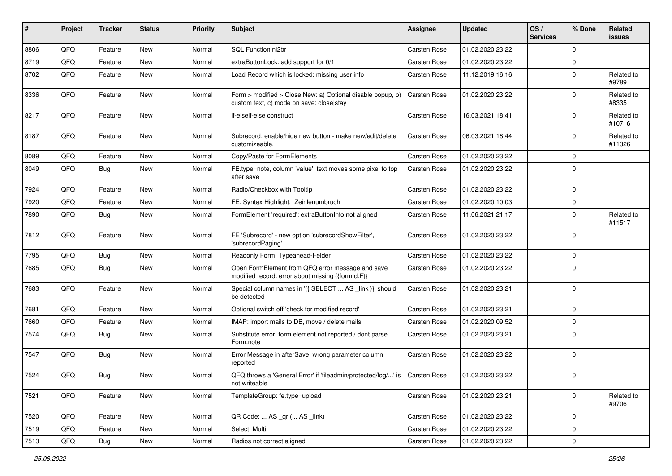| #    | Project | <b>Tracker</b> | <b>Status</b> | <b>Priority</b> | Subject                                                                                                | <b>Assignee</b>     | <b>Updated</b>   | OS/<br><b>Services</b> | % Done       | Related<br>issues    |
|------|---------|----------------|---------------|-----------------|--------------------------------------------------------------------------------------------------------|---------------------|------------------|------------------------|--------------|----------------------|
| 8806 | QFQ     | Feature        | New           | Normal          | SQL Function nl2br                                                                                     | Carsten Rose        | 01.02.2020 23:22 |                        | $\mathbf{0}$ |                      |
| 8719 | QFQ     | Feature        | <b>New</b>    | Normal          | extraButtonLock: add support for 0/1                                                                   | <b>Carsten Rose</b> | 01.02.2020 23:22 |                        | $\mathbf 0$  |                      |
| 8702 | QFQ     | Feature        | New           | Normal          | Load Record which is locked: missing user info                                                         | Carsten Rose        | 11.12.2019 16:16 |                        | $\mathbf 0$  | Related to<br>#9789  |
| 8336 | QFQ     | Feature        | New           | Normal          | Form > modified > Close New: a) Optional disable popup, b)<br>custom text, c) mode on save: close stay | <b>Carsten Rose</b> | 01.02.2020 23:22 |                        | $\mathbf 0$  | Related to<br>#8335  |
| 8217 | QFQ     | Feature        | New           | Normal          | if-elseif-else construct                                                                               | <b>Carsten Rose</b> | 16.03.2021 18:41 |                        | $\mathbf 0$  | Related to<br>#10716 |
| 8187 | QFQ     | Feature        | <b>New</b>    | Normal          | Subrecord: enable/hide new button - make new/edit/delete<br>customizeable.                             | Carsten Rose        | 06.03.2021 18:44 |                        | $\mathbf 0$  | Related to<br>#11326 |
| 8089 | QFQ     | Feature        | New           | Normal          | Copy/Paste for FormElements                                                                            | Carsten Rose        | 01.02.2020 23:22 |                        | $\mathbf 0$  |                      |
| 8049 | QFQ     | <b>Bug</b>     | New           | Normal          | FE.type=note, column 'value': text moves some pixel to top<br>after save                               | <b>Carsten Rose</b> | 01.02.2020 23:22 |                        | $\mathbf 0$  |                      |
| 7924 | QFQ     | Feature        | New           | Normal          | Radio/Checkbox with Tooltip                                                                            | Carsten Rose        | 01.02.2020 23:22 |                        | $\mathbf 0$  |                      |
| 7920 | QFQ     | Feature        | New           | Normal          | FE: Syntax Highlight, Zeinlenumbruch                                                                   | <b>Carsten Rose</b> | 01.02.2020 10:03 |                        | $\mathbf 0$  |                      |
| 7890 | QFQ     | <b>Bug</b>     | New           | Normal          | FormElement 'required': extraButtonInfo not aligned                                                    | <b>Carsten Rose</b> | 11.06.2021 21:17 |                        | $\mathbf 0$  | Related to<br>#11517 |
| 7812 | QFQ     | Feature        | New           | Normal          | FE 'Subrecord' - new option 'subrecordShowFilter',<br>'subrecordPaging'                                | Carsten Rose        | 01.02.2020 23:22 |                        | $\mathbf 0$  |                      |
| 7795 | QFQ     | <b>Bug</b>     | New           | Normal          | Readonly Form: Typeahead-Felder                                                                        | Carsten Rose        | 01.02.2020 23:22 |                        | $\mathbf 0$  |                      |
| 7685 | QFQ     | <b>Bug</b>     | New           | Normal          | Open FormElement from QFQ error message and save<br>modified record: error about missing {{formId:F}}  | Carsten Rose        | 01.02.2020 23:22 |                        | $\mathbf 0$  |                      |
| 7683 | QFQ     | Feature        | New           | Normal          | Special column names in '{{ SELECT  AS _link }}' should<br>be detected                                 | Carsten Rose        | 01.02.2020 23:21 |                        | $\mathbf 0$  |                      |
| 7681 | QFQ     | Feature        | New           | Normal          | Optional switch off 'check for modified record'                                                        | Carsten Rose        | 01.02.2020 23:21 |                        | $\mathbf 0$  |                      |
| 7660 | QFQ     | Feature        | New           | Normal          | IMAP: import mails to DB, move / delete mails                                                          | Carsten Rose        | 01.02.2020 09:52 |                        | $\mathbf 0$  |                      |
| 7574 | QFQ     | <b>Bug</b>     | New           | Normal          | Substitute error: form element not reported / dont parse<br>Form.note                                  | <b>Carsten Rose</b> | 01.02.2020 23:21 |                        | $\Omega$     |                      |
| 7547 | QFQ     | <b>Bug</b>     | New           | Normal          | Error Message in afterSave: wrong parameter column<br>reported                                         | Carsten Rose        | 01.02.2020 23:22 |                        | $\mathbf 0$  |                      |
| 7524 | QFQ     | <b>Bug</b>     | New           | Normal          | QFQ throws a 'General Error' if 'fileadmin/protected/log/' is<br>not writeable                         | Carsten Rose        | 01.02.2020 23:22 |                        | $\mathbf 0$  |                      |
| 7521 | QFQ     | Feature        | New           | Normal          | TemplateGroup: fe.type=upload                                                                          | Carsten Rose        | 01.02.2020 23:21 |                        | $\mathbf 0$  | Related to<br>#9706  |
| 7520 | QFQ     | Feature        | New           | Normal          | QR Code:  AS _qr ( AS _link)                                                                           | Carsten Rose        | 01.02.2020 23:22 |                        | $\mathbf 0$  |                      |
| 7519 | QFQ     | Feature        | New           | Normal          | Select: Multi                                                                                          | Carsten Rose        | 01.02.2020 23:22 |                        | $\mathbf 0$  |                      |
| 7513 | QFQ     | Bug            | New           | Normal          | Radios not correct aligned                                                                             | Carsten Rose        | 01.02.2020 23:22 |                        | $\mathbf 0$  |                      |